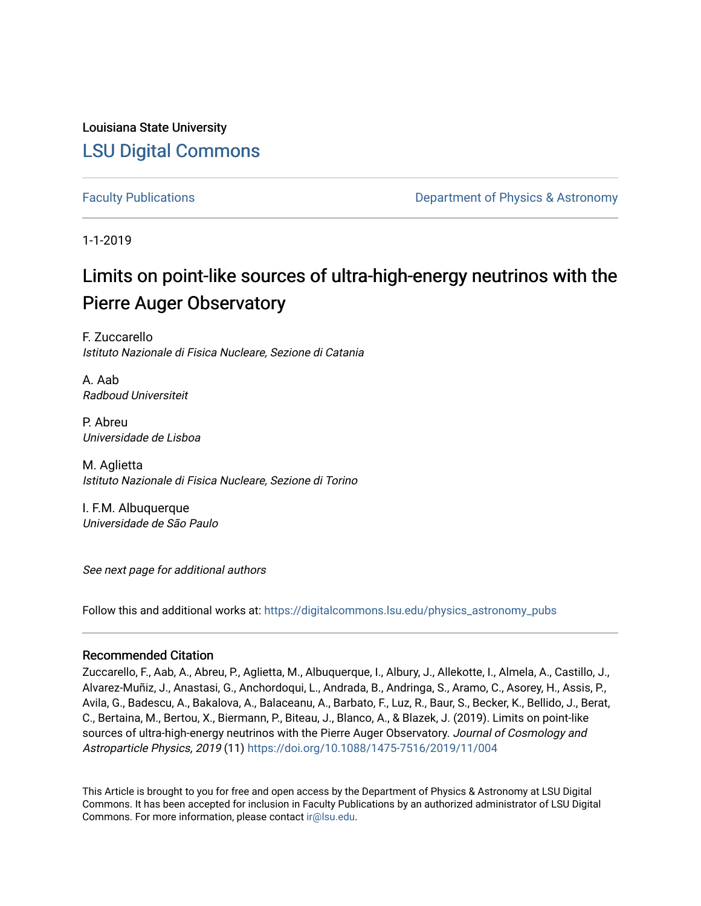Louisiana State University [LSU Digital Commons](https://digitalcommons.lsu.edu/)

[Faculty Publications](https://digitalcommons.lsu.edu/physics_astronomy_pubs) **Example 2** Constant Department of Physics & Astronomy

1-1-2019

# Limits on point-like sources of ultra-high-energy neutrinos with the Pierre Auger Observatory

F. Zuccarello Istituto Nazionale di Fisica Nucleare, Sezione di Catania

A. Aab Radboud Universiteit

P. Abreu Universidade de Lisboa

M. Aglietta Istituto Nazionale di Fisica Nucleare, Sezione di Torino

I. F.M. Albuquerque Universidade de São Paulo

See next page for additional authors

Follow this and additional works at: [https://digitalcommons.lsu.edu/physics\\_astronomy\\_pubs](https://digitalcommons.lsu.edu/physics_astronomy_pubs?utm_source=digitalcommons.lsu.edu%2Fphysics_astronomy_pubs%2F3204&utm_medium=PDF&utm_campaign=PDFCoverPages) 

#### Recommended Citation

Zuccarello, F., Aab, A., Abreu, P., Aglietta, M., Albuquerque, I., Albury, J., Allekotte, I., Almela, A., Castillo, J., Alvarez-Muñiz, J., Anastasi, G., Anchordoqui, L., Andrada, B., Andringa, S., Aramo, C., Asorey, H., Assis, P., Avila, G., Badescu, A., Bakalova, A., Balaceanu, A., Barbato, F., Luz, R., Baur, S., Becker, K., Bellido, J., Berat, C., Bertaina, M., Bertou, X., Biermann, P., Biteau, J., Blanco, A., & Blazek, J. (2019). Limits on point-like sources of ultra-high-energy neutrinos with the Pierre Auger Observatory. Journal of Cosmology and Astroparticle Physics, 2019 (11)<https://doi.org/10.1088/1475-7516/2019/11/004>

This Article is brought to you for free and open access by the Department of Physics & Astronomy at LSU Digital Commons. It has been accepted for inclusion in Faculty Publications by an authorized administrator of LSU Digital Commons. For more information, please contact [ir@lsu.edu](mailto:ir@lsu.edu).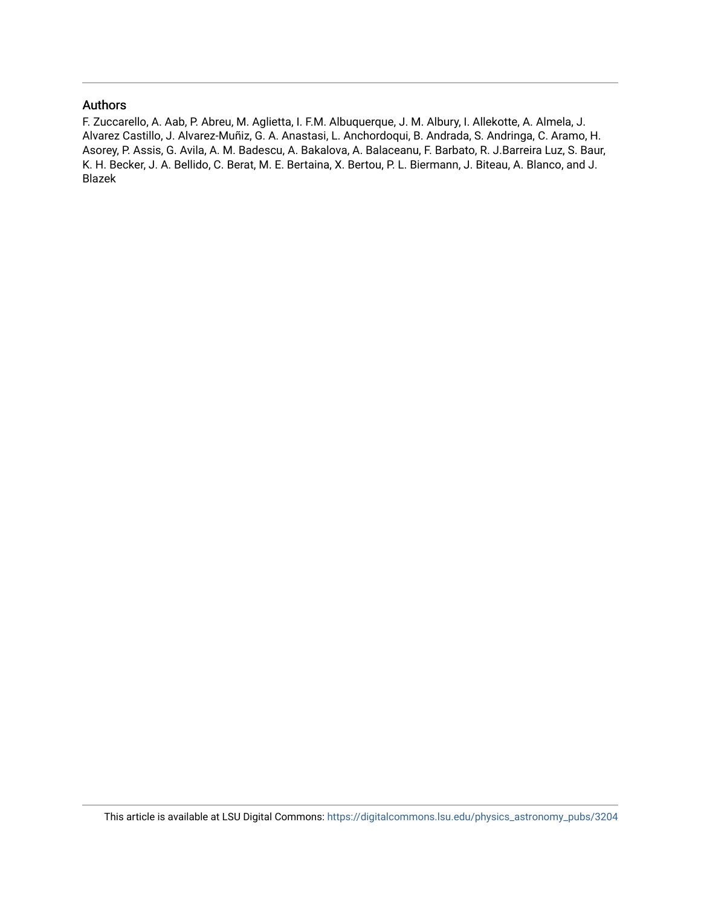# Authors

F. Zuccarello, A. Aab, P. Abreu, M. Aglietta, I. F.M. Albuquerque, J. M. Albury, I. Allekotte, A. Almela, J. Alvarez Castillo, J. Alvarez-Muñiz, G. A. Anastasi, L. Anchordoqui, B. Andrada, S. Andringa, C. Aramo, H. Asorey, P. Assis, G. Avila, A. M. Badescu, A. Bakalova, A. Balaceanu, F. Barbato, R. J.Barreira Luz, S. Baur, K. H. Becker, J. A. Bellido, C. Berat, M. E. Bertaina, X. Bertou, P. L. Biermann, J. Biteau, A. Blanco, and J. Blazek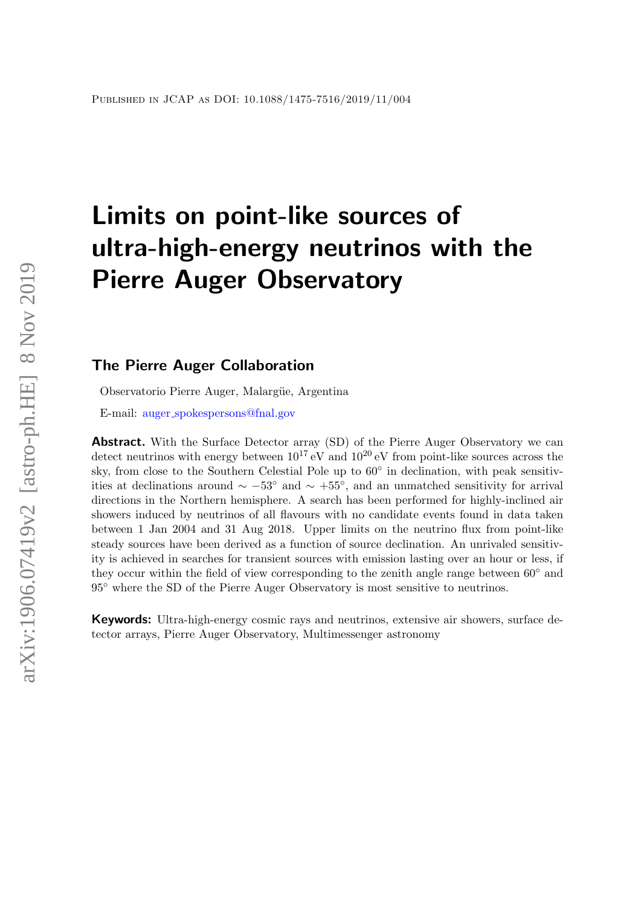# Limits on point-like sources of ultra-high-energy neutrinos with the Pierre Auger Observatory

# The Pierre Auger Collaboration

Observatorio Pierre Auger, Malargüe, Argentina

E-mail: auger\_[spokespersons@fnal.gov](mailto:auger_spokespersons@fnal.gov)

Abstract. With the Surface Detector array (SD) of the Pierre Auger Observatory we can detect neutrinos with energy between  $10^{17}$  eV and  $10^{20}$  eV from point-like sources across the sky, from close to the Southern Celestial Pole up to  $60^{\circ}$  in declination, with peak sensitivities at declinations around  $\sim -53^{\circ}$  and  $\sim +55^{\circ}$ , and an unmatched sensitivity for arrival directions in the Northern hemisphere. A search has been performed for highly-inclined air showers induced by neutrinos of all flavours with no candidate events found in data taken between 1 Jan 2004 and 31 Aug 2018. Upper limits on the neutrino flux from point-like steady sources have been derived as a function of source declination. An unrivaled sensitivity is achieved in searches for transient sources with emission lasting over an hour or less, if they occur within the field of view corresponding to the zenith angle range between  $60°$  and 95◦ where the SD of the Pierre Auger Observatory is most sensitive to neutrinos.

**Keywords:** Ultra-high-energy cosmic rays and neutrinos, extensive air showers, surface detector arrays, Pierre Auger Observatory, Multimessenger astronomy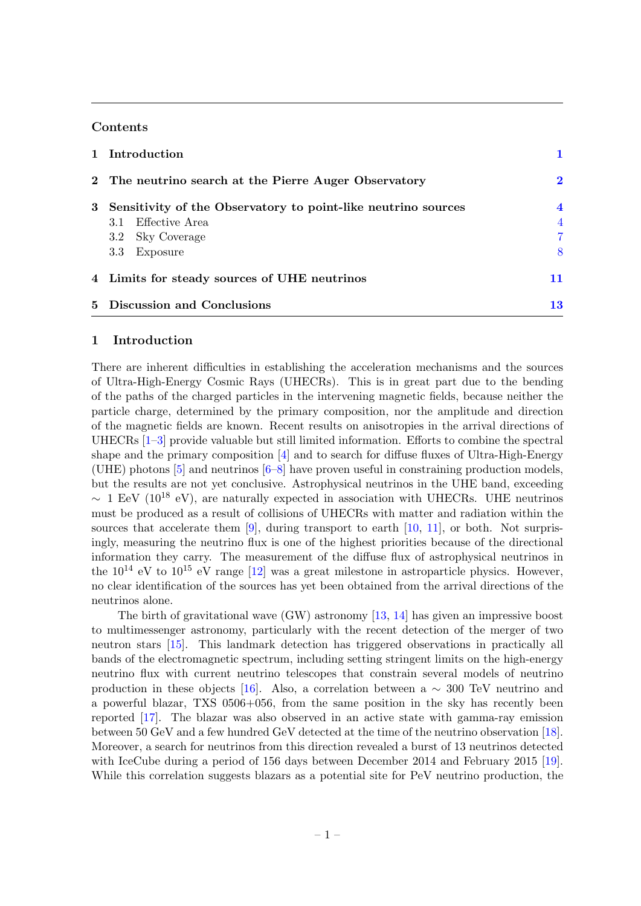### Contents

| 1 Introduction                                                                                                            |                                                     |
|---------------------------------------------------------------------------------------------------------------------------|-----------------------------------------------------|
| 2 The neutrino search at the Pierre Auger Observatory                                                                     | $\overline{\mathbf{2}}$                             |
| 3 Sensitivity of the Observatory to point-like neutrino sources<br>3.1 Effective Area<br>3.2 Sky Coverage<br>3.3 Exposure | $\overline{\mathbf{4}}$<br>$\overline{4}$<br>7<br>8 |
| 4 Limits for steady sources of UHE neutrinos                                                                              | 11                                                  |
| 5 Discussion and Conclusions                                                                                              | 13                                                  |

#### <span id="page-3-0"></span>1 Introduction

There are inherent difficulties in establishing the acceleration mechanisms and the sources of Ultra-High-Energy Cosmic Rays (UHECRs). This is in great part due to the bending of the paths of the charged particles in the intervening magnetic fields, because neither the particle charge, determined by the primary composition, nor the amplitude and direction of the magnetic fields are known. Recent results on anisotropies in the arrival directions of UHECRs [\[1–](#page-18-0)[3\]](#page-18-1) provide valuable but still limited information. Efforts to combine the spectral shape and the primary composition [\[4\]](#page-18-2) and to search for diffuse fluxes of Ultra-High-Energy (UHE) photons  $[5]$  and neutrinos  $[6-8]$  $[6-8]$  have proven useful in constraining production models, but the results are not yet conclusive. Astrophysical neutrinos in the UHE band, exceeding  $\sim$  1 EeV (10<sup>18</sup> eV), are naturally expected in association with UHECRs. UHE neutrinos must be produced as a result of collisions of UHECRs with matter and radiation within the sources that accelerate them  $[9]$ , during transport to earth  $[10, 11]$  $[10, 11]$  $[10, 11]$ , or both. Not surprisingly, measuring the neutrino flux is one of the highest priorities because of the directional information they carry. The measurement of the diffuse flux of astrophysical neutrinos in the  $10^{14}$  eV to  $10^{15}$  eV range [\[12\]](#page-19-1) was a great milestone in astroparticle physics. However, no clear identification of the sources has yet been obtained from the arrival directions of the neutrinos alone.

The birth of gravitational wave (GW) astronomy [\[13,](#page-19-2) [14\]](#page-19-3) has given an impressive boost to multimessenger astronomy, particularly with the recent detection of the merger of two neutron stars [\[15\]](#page-19-4). This landmark detection has triggered observations in practically all bands of the electromagnetic spectrum, including setting stringent limits on the high-energy neutrino flux with current neutrino telescopes that constrain several models of neutrino production in these objects [\[16\]](#page-19-5). Also, a correlation between a  $\sim 300$  TeV neutrino and a powerful blazar, TXS 0506+056, from the same position in the sky has recently been reported [\[17\]](#page-19-6). The blazar was also observed in an active state with gamma-ray emission between 50 GeV and a few hundred GeV detected at the time of the neutrino observation [\[18\]](#page-19-7). Moreover, a search for neutrinos from this direction revealed a burst of 13 neutrinos detected with IceCube during a period of 156 days between December 2014 and February 2015 [\[19\]](#page-19-8). While this correlation suggests blazars as a potential site for PeV neutrino production, the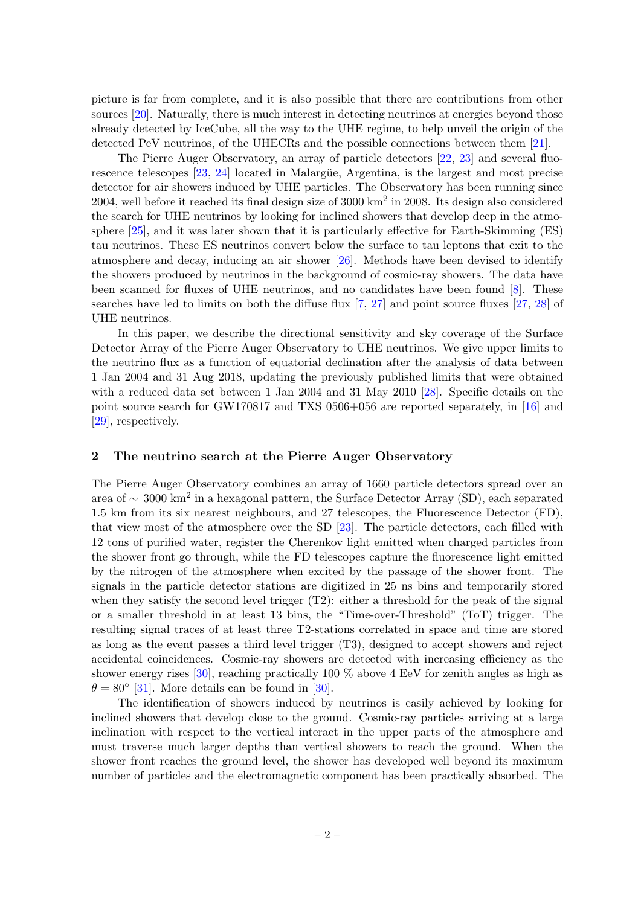picture is far from complete, and it is also possible that there are contributions from other sources [\[20\]](#page-19-9). Naturally, there is much interest in detecting neutrinos at energies beyond those already detected by IceCube, all the way to the UHE regime, to help unveil the origin of the detected PeV neutrinos, of the UHECRs and the possible connections between them [\[21\]](#page-19-10).

The Pierre Auger Observatory, an array of particle detectors [\[22,](#page-19-11) [23\]](#page-19-12) and several fluo-rescence telescopes [\[23,](#page-19-12) [24\]](#page-19-13) located in Malargüe, Argentina, is the largest and most precise detector for air showers induced by UHE particles. The Observatory has been running since 2004, well before it reached its final design size of  $3000 \text{ km}^2$  in 2008. Its design also considered the search for UHE neutrinos by looking for inclined showers that develop deep in the atmosphere [\[25\]](#page-19-14), and it was later shown that it is particularly effective for Earth-Skimming (ES) tau neutrinos. These ES neutrinos convert below the surface to tau leptons that exit to the atmosphere and decay, inducing an air shower [\[26\]](#page-19-15). Methods have been devised to identify the showers produced by neutrinos in the background of cosmic-ray showers. The data have been scanned for fluxes of UHE neutrinos, and no candidates have been found [\[8\]](#page-18-5). These searches have led to limits on both the diffuse flux [\[7,](#page-18-8) [27\]](#page-19-16) and point source fluxes [\[27,](#page-19-16) [28\]](#page-19-17) of UHE neutrinos.

In this paper, we describe the directional sensitivity and sky coverage of the Surface Detector Array of the Pierre Auger Observatory to UHE neutrinos. We give upper limits to the neutrino flux as a function of equatorial declination after the analysis of data between 1 Jan 2004 and 31 Aug 2018, updating the previously published limits that were obtained with a reduced data set between 1 Jan 2004 and 31 May 2010 [\[28\]](#page-19-17). Specific details on the point source search for GW170817 and TXS 0506+056 are reported separately, in [\[16\]](#page-19-5) and [\[29\]](#page-19-18), respectively.

#### <span id="page-4-0"></span>2 The neutrino search at the Pierre Auger Observatory

The Pierre Auger Observatory combines an array of 1660 particle detectors spread over an area of ∼ 3000 km<sup>2</sup> in a hexagonal pattern, the Surface Detector Array (SD), each separated 1.5 km from its six nearest neighbours, and 27 telescopes, the Fluorescence Detector (FD), that view most of the atmosphere over the SD [\[23\]](#page-19-12). The particle detectors, each filled with 12 tons of purified water, register the Cherenkov light emitted when charged particles from the shower front go through, while the FD telescopes capture the fluorescence light emitted by the nitrogen of the atmosphere when excited by the passage of the shower front. The signals in the particle detector stations are digitized in 25 ns bins and temporarily stored when they satisfy the second level trigger  $(T2)$ : either a threshold for the peak of the signal or a smaller threshold in at least 13 bins, the "Time-over-Threshold" (ToT) trigger. The resulting signal traces of at least three T2-stations correlated in space and time are stored as long as the event passes a third level trigger (T3), designed to accept showers and reject accidental coincidences. Cosmic-ray showers are detected with increasing efficiency as the shower energy rises [\[30\]](#page-19-19), reaching practically 100  $\%$  above 4 EeV for zenith angles as high as  $\theta = 80^{\circ}$  [\[31\]](#page-20-0). More details can be found in [\[30\]](#page-19-19).

The identification of showers induced by neutrinos is easily achieved by looking for inclined showers that develop close to the ground. Cosmic-ray particles arriving at a large inclination with respect to the vertical interact in the upper parts of the atmosphere and must traverse much larger depths than vertical showers to reach the ground. When the shower front reaches the ground level, the shower has developed well beyond its maximum number of particles and the electromagnetic component has been practically absorbed. The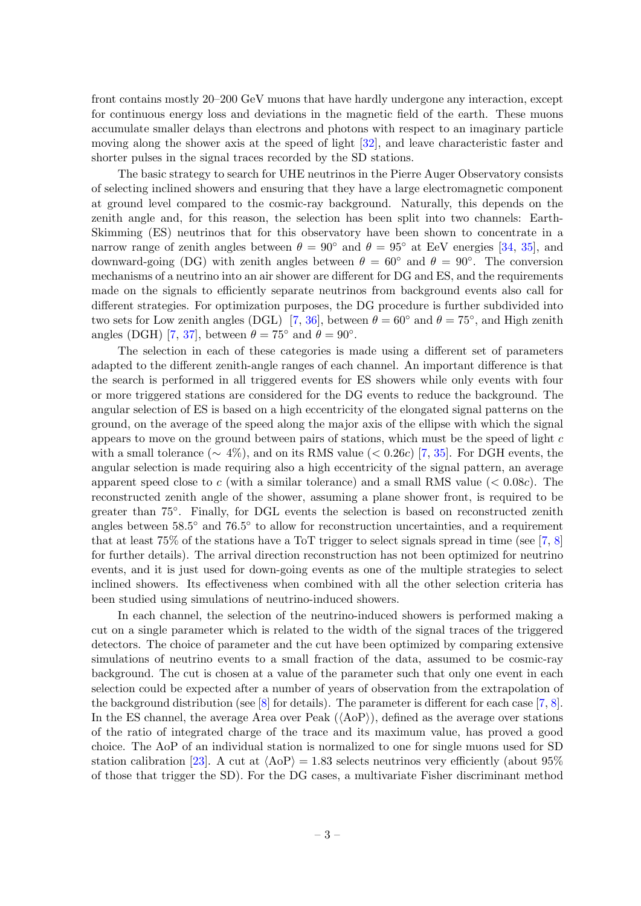front contains mostly 20–200 GeV muons that have hardly undergone any interaction, except for continuous energy loss and deviations in the magnetic field of the earth. These muons accumulate smaller delays than electrons and photons with respect to an imaginary particle moving along the shower axis at the speed of light [\[32\]](#page-20-1), and leave characteristic faster and shorter pulses in the signal traces recorded by the SD stations.

The basic strategy to search for UHE neutrinos in the Pierre Auger Observatory consists of selecting inclined showers and ensuring that they have a large electromagnetic component at ground level compared to the cosmic-ray background. Naturally, this depends on the zenith angle and, for this reason, the selection has been split into two channels: Earth-Skimming (ES) neutrinos that for this observatory have been shown to concentrate in a narrow range of zenith angles between  $\theta = 90^{\circ}$  and  $\theta = 95^{\circ}$  at EeV energies [\[34,](#page-20-2) [35\]](#page-20-3), and downward-going (DG) with zenith angles between  $\theta = 60^{\circ}$  and  $\theta = 90^{\circ}$ . The conversion mechanisms of a neutrino into an air shower are different for DG and ES, and the requirements made on the signals to efficiently separate neutrinos from background events also call for different strategies. For optimization purposes, the DG procedure is further subdivided into two sets for Low zenith angles (DGL) [\[7,](#page-18-8) [36\]](#page-20-4), between  $\theta = 60^{\circ}$  and  $\theta = 75^{\circ}$ , and High zenith angles (DGH) [\[7,](#page-18-8) [37\]](#page-20-5), between  $\theta = 75^{\circ}$  and  $\theta = 90^{\circ}$ .

The selection in each of these categories is made using a different set of parameters adapted to the different zenith-angle ranges of each channel. An important difference is that the search is performed in all triggered events for ES showers while only events with four or more triggered stations are considered for the DG events to reduce the background. The angular selection of ES is based on a high eccentricity of the elongated signal patterns on the ground, on the average of the speed along the major axis of the ellipse with which the signal appears to move on the ground between pairs of stations, which must be the speed of light  $c$ with a small tolerance ( $\sim$  4%), and on its RMS value ( $\lt$  0.26c) [\[7,](#page-18-8) [35\]](#page-20-3). For DGH events, the angular selection is made requiring also a high eccentricity of the signal pattern, an average apparent speed close to c (with a similar tolerance) and a small RMS value ( $< 0.08c$ ). The reconstructed zenith angle of the shower, assuming a plane shower front, is required to be greater than 75°. Finally, for DGL events the selection is based on reconstructed zenith angles between  $58.5^{\circ}$  and  $76.5^{\circ}$  to allow for reconstruction uncertainties, and a requirement that at least 75% of the stations have a ToT trigger to select signals spread in time (see [\[7,](#page-18-8) [8\]](#page-18-5) for further details). The arrival direction reconstruction has not been optimized for neutrino events, and it is just used for down-going events as one of the multiple strategies to select inclined showers. Its effectiveness when combined with all the other selection criteria has been studied using simulations of neutrino-induced showers.

In each channel, the selection of the neutrino-induced showers is performed making a cut on a single parameter which is related to the width of the signal traces of the triggered detectors. The choice of parameter and the cut have been optimized by comparing extensive simulations of neutrino events to a small fraction of the data, assumed to be cosmic-ray background. The cut is chosen at a value of the parameter such that only one event in each selection could be expected after a number of years of observation from the extrapolation of the background distribution (see [\[8\]](#page-18-5) for details). The parameter is different for each case [\[7,](#page-18-8) [8\]](#page-18-5). In the ES channel, the average Area over Peak  $(\langle \text{AoP} \rangle)$ , defined as the average over stations of the ratio of integrated charge of the trace and its maximum value, has proved a good choice. The AoP of an individual station is normalized to one for single muons used for SD station calibration [\[23\]](#page-19-12). A cut at  $\langle \text{AoP} \rangle = 1.83$  selects neutrinos very efficiently (about 95%) of those that trigger the SD). For the DG cases, a multivariate Fisher discriminant method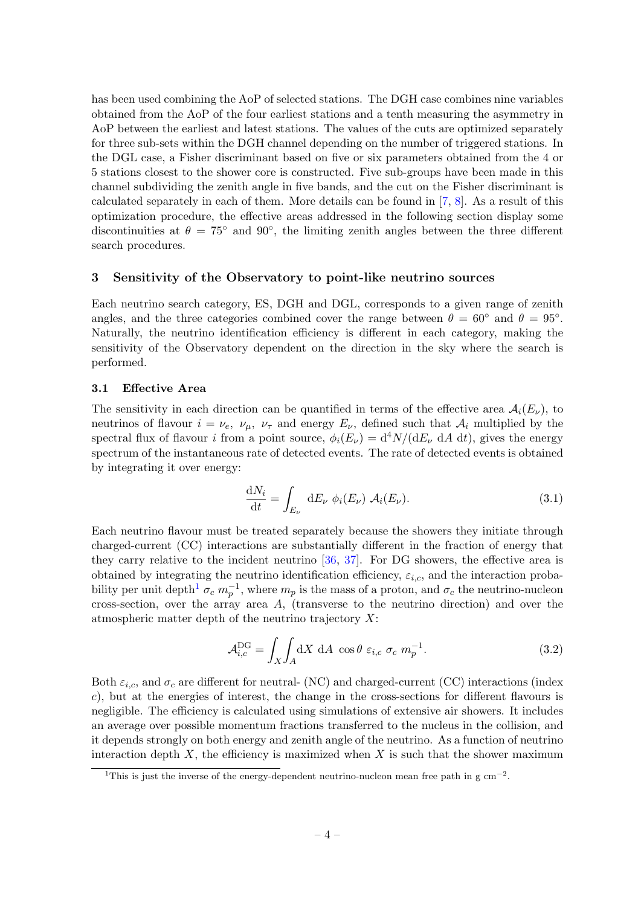has been used combining the AoP of selected stations. The DGH case combines nine variables obtained from the AoP of the four earliest stations and a tenth measuring the asymmetry in AoP between the earliest and latest stations. The values of the cuts are optimized separately for three sub-sets within the DGH channel depending on the number of triggered stations. In the DGL case, a Fisher discriminant based on five or six parameters obtained from the 4 or 5 stations closest to the shower core is constructed. Five sub-groups have been made in this channel subdividing the zenith angle in five bands, and the cut on the Fisher discriminant is calculated separately in each of them. More details can be found in [\[7,](#page-18-8) [8\]](#page-18-5). As a result of this optimization procedure, the effective areas addressed in the following section display some discontinuities at  $\theta = 75^{\circ}$  and 90°, the limiting zenith angles between the three different search procedures.

#### <span id="page-6-0"></span>3 Sensitivity of the Observatory to point-like neutrino sources

Each neutrino search category, ES, DGH and DGL, corresponds to a given range of zenith angles, and the three categories combined cover the range between  $\theta = 60^{\circ}$  and  $\theta = 95^{\circ}$ . Naturally, the neutrino identification efficiency is different in each category, making the sensitivity of the Observatory dependent on the direction in the sky where the search is performed.

#### <span id="page-6-1"></span>3.1 Effective Area

The sensitivity in each direction can be quantified in terms of the effective area  $\mathcal{A}_i(E_\nu)$ , to neutrinos of flavour  $i = \nu_e$ ,  $\nu_\mu$ ,  $\nu_\tau$  and energy  $E_\nu$ , defined such that  $\mathcal{A}_i$  multiplied by the spectral flux of flavour *i* from a point source,  $\phi_i(E_\nu) = d^4N/(dE_\nu dA \, dt)$ , gives the energy spectrum of the instantaneous rate of detected events. The rate of detected events is obtained by integrating it over energy:

$$
\frac{\mathrm{d}N_i}{\mathrm{d}t} = \int_{E_\nu} \mathrm{d}E_\nu \ \phi_i(E_\nu) \ \mathcal{A}_i(E_\nu). \tag{3.1}
$$

Each neutrino flavour must be treated separately because the showers they initiate through charged-current (CC) interactions are substantially different in the fraction of energy that they carry relative to the incident neutrino [\[36,](#page-20-4) [37\]](#page-20-5). For DG showers, the effective area is obtained by integrating the neutrino identification efficiency,  $\varepsilon_{i,c}$ , and the interaction proba-bility per unit depth<sup>[1](#page-6-2)</sup>  $\sigma_c$  m<sub>p</sub><sup>-1</sup>, where m<sub>p</sub> is the mass of a proton, and  $\sigma_c$  the neutrino-nucleon cross-section, over the array area  $A$ , (transverse to the neutrino direction) and over the atmospheric matter depth of the neutrino trajectory X:

<span id="page-6-3"></span>
$$
\mathcal{A}_{i,c}^{\text{DG}} = \int_X \int_A dX \ dA \ \cos\theta \ \varepsilon_{i,c} \ \sigma_c \ m_p^{-1}.
$$
 (3.2)

Both  $\varepsilon_{i,c}$ , and  $\sigma_c$  are different for neutral- (NC) and charged-current (CC) interactions (index c), but at the energies of interest, the change in the cross-sections for different flavours is negligible. The efficiency is calculated using simulations of extensive air showers. It includes an average over possible momentum fractions transferred to the nucleus in the collision, and it depends strongly on both energy and zenith angle of the neutrino. As a function of neutrino interaction depth  $X$ , the efficiency is maximized when  $X$  is such that the shower maximum

<span id="page-6-2"></span><sup>&</sup>lt;sup>1</sup>This is just the inverse of the energy-dependent neutrino-nucleon mean free path in g cm<sup>-2</sup>.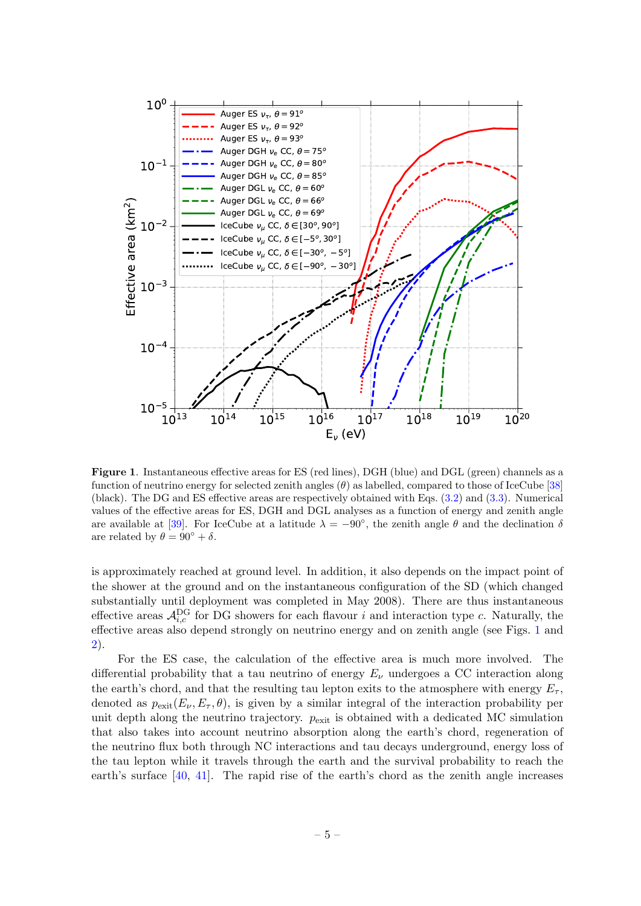

<span id="page-7-0"></span>Figure 1. Instantaneous effective areas for ES (red lines), DGH (blue) and DGL (green) channels as a function of neutrino energy for selected zenith angles  $(\theta)$  as labelled, compared to those of IceCube [\[38\]](#page-20-6) (black). The DG and ES effective areas are respectively obtained with Eqs. [\(3.2\)](#page-6-3) and [\(3.3\)](#page-8-0). Numerical values of the effective areas for ES, DGH and DGL analyses as a function of energy and zenith angle are available at [\[39\]](#page-20-7). For IceCube at a latitude  $\lambda = -90^{\circ}$ , the zenith angle  $\theta$  and the declination  $\delta$ are related by  $\theta = 90^{\circ} + \delta$ .

is approximately reached at ground level. In addition, it also depends on the impact point of the shower at the ground and on the instantaneous configuration of the SD (which changed substantially until deployment was completed in May 2008). There are thus instantaneous effective areas  $\mathcal{A}^{\text{DG}}_{i,c}$  for DG showers for each flavour i and interaction type c. Naturally, the effective areas also depend strongly on neutrino energy and on zenith angle (see Figs. [1](#page-7-0) and [2\)](#page-8-1).

For the ES case, the calculation of the effective area is much more involved. The differential probability that a tau neutrino of energy  $E_{\nu}$  undergoes a CC interaction along the earth's chord, and that the resulting tau lepton exits to the atmosphere with energy  $E_{\tau}$ , denoted as  $p_{\text{exit}}(E_{\nu}, E_{\tau}, \theta)$ , is given by a similar integral of the interaction probability per unit depth along the neutrino trajectory.  $p_{\text{exit}}$  is obtained with a dedicated MC simulation that also takes into account neutrino absorption along the earth's chord, regeneration of the neutrino flux both through NC interactions and tau decays underground, energy loss of the tau lepton while it travels through the earth and the survival probability to reach the earth's surface [\[40,](#page-20-8) [41\]](#page-20-9). The rapid rise of the earth's chord as the zenith angle increases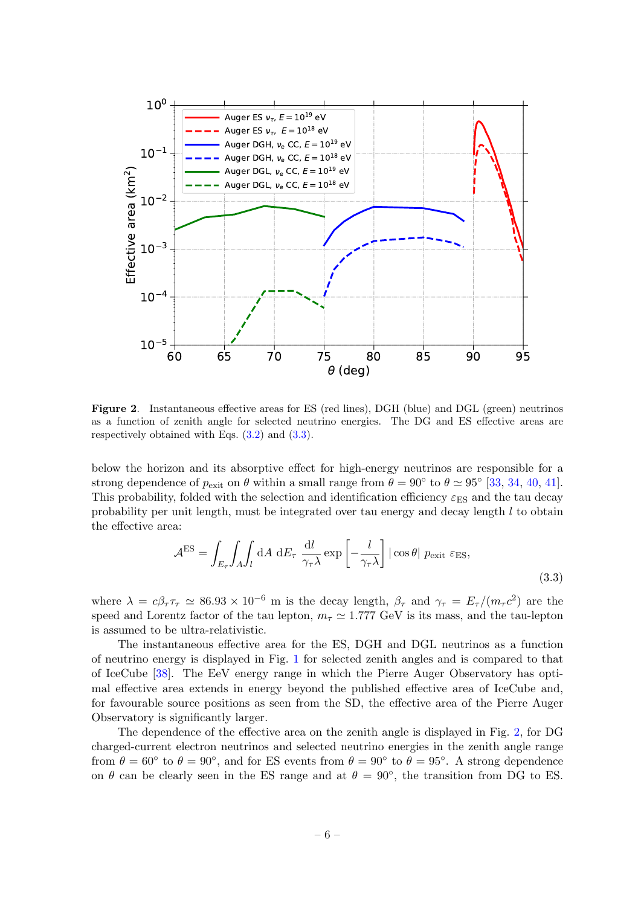

<span id="page-8-1"></span>Figure 2. Instantaneous effective areas for ES (red lines), DGH (blue) and DGL (green) neutrinos as a function of zenith angle for selected neutrino energies. The DG and ES effective areas are respectively obtained with Eqs. [\(3.2\)](#page-6-3) and [\(3.3\)](#page-8-0).

below the horizon and its absorptive effect for high-energy neutrinos are responsible for a strong dependence of  $p_{\text{exit}}$  on  $\theta$  within a small range from  $\theta = 90^{\circ}$  to  $\theta \simeq 95^{\circ}$  [\[33,](#page-20-10) [34,](#page-20-2) [40,](#page-20-8) [41\]](#page-20-9). This probability, folded with the selection and identification efficiency  $\varepsilon_{\text{ES}}$  and the tau decay probability per unit length, must be integrated over tau energy and decay length  $l$  to obtain the effective area:

<span id="page-8-0"></span>
$$
\mathcal{A}^{\text{ES}} = \int_{E_{\tau}} \int_A \int_l \, \mathrm{d}A \, \mathrm{d}E_{\tau} \, \frac{\mathrm{d}l}{\gamma_{\tau} \lambda} \exp\left[-\frac{l}{\gamma_{\tau} \lambda}\right] |\cos \theta| \, p_{\text{exit}} \, \varepsilon_{\text{ES}},\tag{3.3}
$$

where  $\lambda = c\beta_\tau \tau_\tau \simeq 86.93 \times 10^{-6}$  m is the decay length,  $\beta_\tau$  and  $\gamma_\tau = E_\tau/(m_\tau c^2)$  are the speed and Lorentz factor of the tau lepton,  $m<sub>\tau</sub> \approx 1.777$  GeV is its mass, and the tau-lepton is assumed to be ultra-relativistic.

The instantaneous effective area for the ES, DGH and DGL neutrinos as a function of neutrino energy is displayed in Fig. [1](#page-7-0) for selected zenith angles and is compared to that of IceCube [\[38\]](#page-20-6). The EeV energy range in which the Pierre Auger Observatory has optimal effective area extends in energy beyond the published effective area of IceCube and, for favourable source positions as seen from the SD, the effective area of the Pierre Auger Observatory is significantly larger.

The dependence of the effective area on the zenith angle is displayed in Fig. [2,](#page-8-1) for DG charged-current electron neutrinos and selected neutrino energies in the zenith angle range from  $\theta = 60^{\circ}$  to  $\theta = 90^{\circ}$ , and for ES events from  $\theta = 90^{\circ}$  to  $\theta = 95^{\circ}$ . A strong dependence on  $\theta$  can be clearly seen in the ES range and at  $\theta = 90^{\circ}$ , the transition from DG to ES.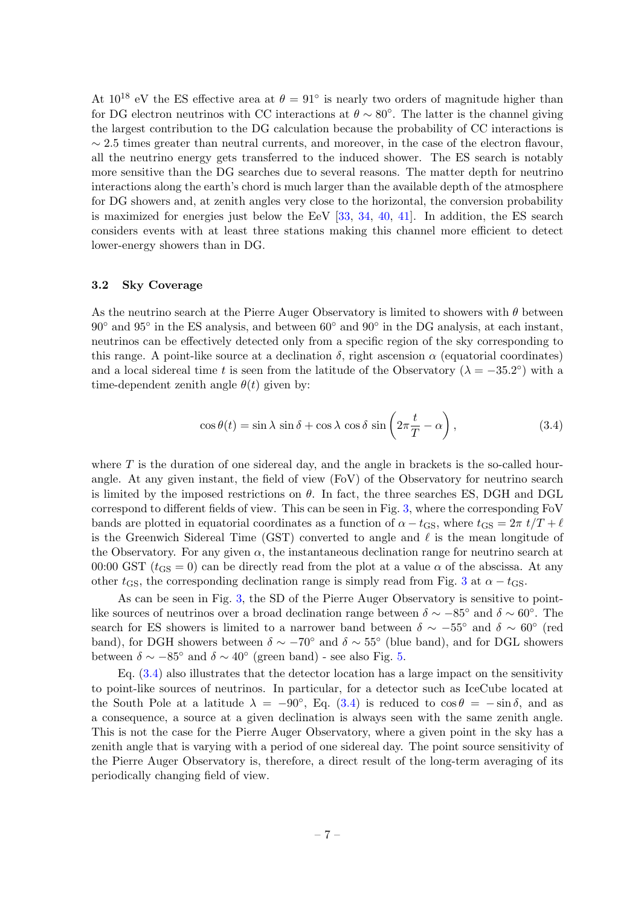At  $10^{18}$  eV the ES effective area at  $\theta = 91^{\circ}$  is nearly two orders of magnitude higher than for DG electron neutrinos with CC interactions at  $\theta \sim 80^{\circ}$ . The latter is the channel giving the largest contribution to the DG calculation because the probability of CC interactions is  $\sim$  2.5 times greater than neutral currents, and moreover, in the case of the electron flavour, all the neutrino energy gets transferred to the induced shower. The ES search is notably more sensitive than the DG searches due to several reasons. The matter depth for neutrino interactions along the earth's chord is much larger than the available depth of the atmosphere for DG showers and, at zenith angles very close to the horizontal, the conversion probability is maximized for energies just below the EeV [\[33,](#page-20-10) [34,](#page-20-2) [40,](#page-20-8) [41\]](#page-20-9). In addition, the ES search considers events with at least three stations making this channel more efficient to detect lower-energy showers than in DG.

#### <span id="page-9-0"></span>3.2 Sky Coverage

As the neutrino search at the Pierre Auger Observatory is limited to showers with  $\theta$  between 90◦ and 95◦ in the ES analysis, and between 60◦ and 90◦ in the DG analysis, at each instant, neutrinos can be effectively detected only from a specific region of the sky corresponding to this range. A point-like source at a declination  $\delta$ , right ascension  $\alpha$  (equatorial coordinates) and a local sidereal time t is seen from the latitude of the Observatory ( $\lambda = -35.2^{\circ}$ ) with a time-dependent zenith angle  $\theta(t)$  given by:

<span id="page-9-1"></span>
$$
\cos \theta(t) = \sin \lambda \, \sin \delta + \cos \lambda \, \cos \delta \, \sin \left(2\pi \frac{t}{T} - \alpha\right),\tag{3.4}
$$

where  $T$  is the duration of one sidereal day, and the angle in brackets is the so-called hourangle. At any given instant, the field of view (FoV) of the Observatory for neutrino search is limited by the imposed restrictions on  $\theta$ . In fact, the three searches ES, DGH and DGL correspond to different fields of view. This can be seen in Fig. [3,](#page-10-1) where the corresponding FoV bands are plotted in equatorial coordinates as a function of  $\alpha - t_{\text{GS}}$ , where  $t_{\text{GS}} = 2\pi t/T + \ell$ is the Greenwich Sidereal Time (GST) converted to angle and  $\ell$  is the mean longitude of the Observatory. For any given  $\alpha$ , the instantaneous declination range for neutrino search at 00:00 GST ( $t_{\text{GS}} = 0$ ) can be directly read from the plot at a value  $\alpha$  of the abscissa. At any other  $t_{\text{GS}}$ , the corresponding declination range is simply read from Fig. [3](#page-10-1) at  $\alpha - t_{\text{GS}}$ .

As can be seen in Fig. [3,](#page-10-1) the SD of the Pierre Auger Observatory is sensitive to pointlike sources of neutrinos over a broad declination range between  $\delta \sim -85^{\circ}$  and  $\delta \sim 60^{\circ}$ . The search for ES showers is limited to a narrower band between  $\delta \sim -55^{\circ}$  and  $\delta \sim 60^{\circ}$  (red band), for DGH showers between  $\delta \sim -70^{\circ}$  and  $\delta \sim 55^{\circ}$  (blue band), and for DGL showers between  $\delta \sim -85^{\circ}$  and  $\delta \sim 40^{\circ}$  (green band) - see also Fig. [5.](#page-12-0)

Eq. [\(3.4\)](#page-9-1) also illustrates that the detector location has a large impact on the sensitivity to point-like sources of neutrinos. In particular, for a detector such as IceCube located at the South Pole at a latitude  $\lambda = -90^{\circ}$ , Eq. [\(3.4\)](#page-9-1) is reduced to  $\cos \theta = -\sin \delta$ , and as a consequence, a source at a given declination is always seen with the same zenith angle. This is not the case for the Pierre Auger Observatory, where a given point in the sky has a zenith angle that is varying with a period of one sidereal day. The point source sensitivity of the Pierre Auger Observatory is, therefore, a direct result of the long-term averaging of its periodically changing field of view.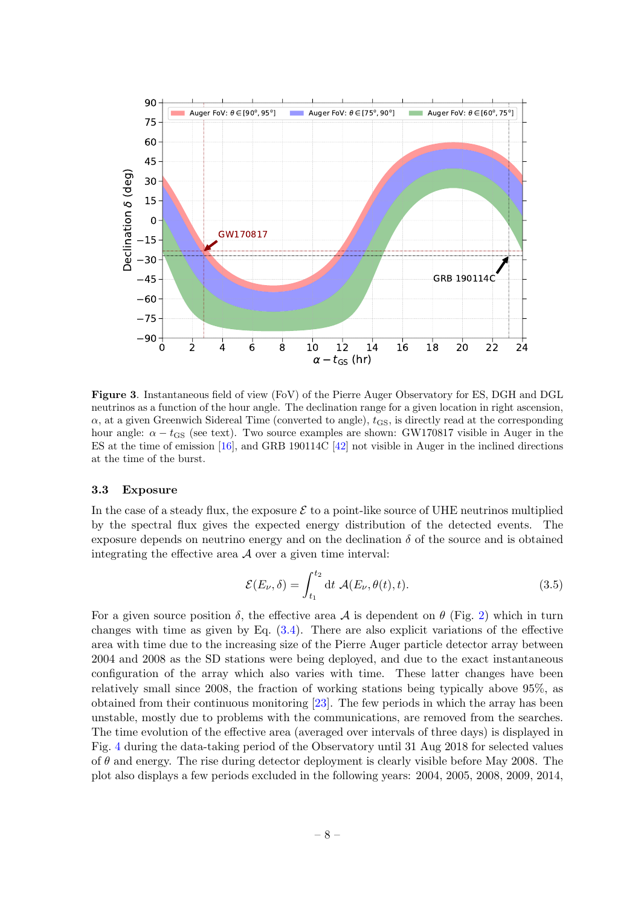

<span id="page-10-1"></span>Figure 3. Instantaneous field of view (FoV) of the Pierre Auger Observatory for ES, DGH and DGL neutrinos as a function of the hour angle. The declination range for a given location in right ascension,  $\alpha$ , at a given Greenwich Sidereal Time (converted to angle),  $t_{\text{GS}}$ , is directly read at the corresponding hour angle:  $\alpha - t_{\text{GS}}$  (see text). Two source examples are shown: GW170817 visible in Auger in the ES at the time of emission [\[16\]](#page-19-5), and GRB 190114C [\[42\]](#page-20-11) not visible in Auger in the inclined directions at the time of the burst.

#### <span id="page-10-0"></span>3.3 Exposure

In the case of a steady flux, the exposure  $\mathcal E$  to a point-like source of UHE neutrinos multiplied by the spectral flux gives the expected energy distribution of the detected events. The exposure depends on neutrino energy and on the declination  $\delta$  of the source and is obtained integrating the effective area  $A$  over a given time interval:

<span id="page-10-2"></span>
$$
\mathcal{E}(E_{\nu},\delta) = \int_{t_1}^{t_2} dt \ \mathcal{A}(E_{\nu},\theta(t),t).
$$
 (3.5)

For a given source position  $\delta$ , the effective area A is dependent on  $\theta$  (Fig. [2\)](#page-8-1) which in turn changes with time as given by Eq.  $(3.4)$ . There are also explicit variations of the effective area with time due to the increasing size of the Pierre Auger particle detector array between 2004 and 2008 as the SD stations were being deployed, and due to the exact instantaneous configuration of the array which also varies with time. These latter changes have been relatively small since 2008, the fraction of working stations being typically above 95%, as obtained from their continuous monitoring [\[23\]](#page-19-12). The few periods in which the array has been unstable, mostly due to problems with the communications, are removed from the searches. The time evolution of the effective area (averaged over intervals of three days) is displayed in Fig. [4](#page-11-0) during the data-taking period of the Observatory until 31 Aug 2018 for selected values of  $\theta$  and energy. The rise during detector deployment is clearly visible before May 2008. The plot also displays a few periods excluded in the following years: 2004, 2005, 2008, 2009, 2014,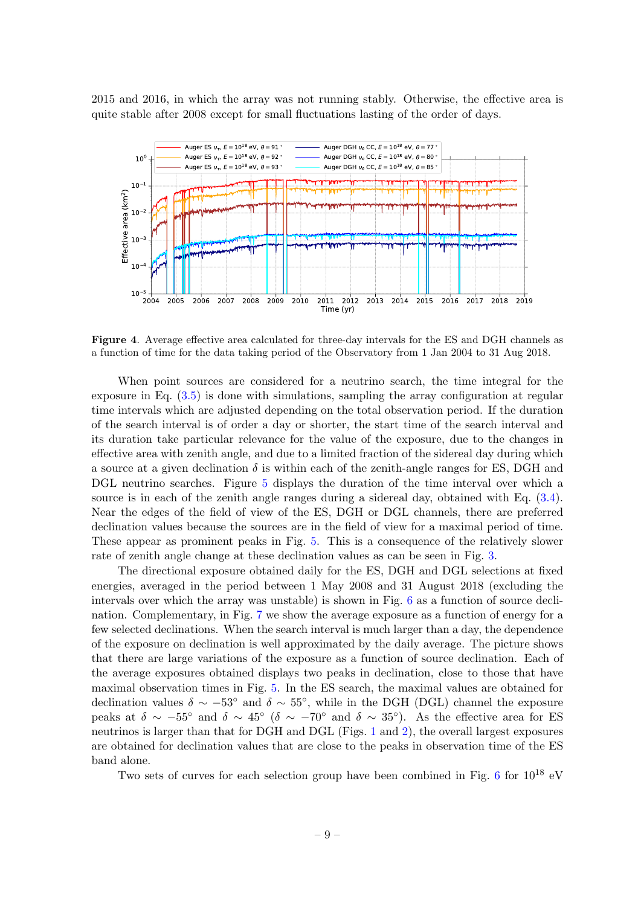2015 and 2016, in which the array was not running stably. Otherwise, the effective area is quite stable after 2008 except for small fluctuations lasting of the order of days.



<span id="page-11-0"></span>Figure 4. Average effective area calculated for three-day intervals for the ES and DGH channels as a function of time for the data taking period of the Observatory from 1 Jan 2004 to 31 Aug 2018.

When point sources are considered for a neutrino search, the time integral for the exposure in Eq. [\(3.5\)](#page-10-2) is done with simulations, sampling the array configuration at regular time intervals which are adjusted depending on the total observation period. If the duration of the search interval is of order a day or shorter, the start time of the search interval and its duration take particular relevance for the value of the exposure, due to the changes in effective area with zenith angle, and due to a limited fraction of the sidereal day during which a source at a given declination  $\delta$  is within each of the zenith-angle ranges for ES, DGH and DGL neutrino searches. Figure [5](#page-12-0) displays the duration of the time interval over which a source is in each of the zenith angle ranges during a sidereal day, obtained with Eq. [\(3.4\)](#page-9-1). Near the edges of the field of view of the ES, DGH or DGL channels, there are preferred declination values because the sources are in the field of view for a maximal period of time. These appear as prominent peaks in Fig. [5.](#page-12-0) This is a consequence of the relatively slower rate of zenith angle change at these declination values as can be seen in Fig. [3.](#page-10-1)

The directional exposure obtained daily for the ES, DGH and DGL selections at fixed energies, averaged in the period between 1 May 2008 and 31 August 2018 (excluding the intervals over which the array was unstable) is shown in Fig. [6](#page-13-1) as a function of source declination. Complementary, in Fig. [7](#page-14-0) we show the average exposure as a function of energy for a few selected declinations. When the search interval is much larger than a day, the dependence of the exposure on declination is well approximated by the daily average. The picture shows that there are large variations of the exposure as a function of source declination. Each of the average exposures obtained displays two peaks in declination, close to those that have maximal observation times in Fig. [5.](#page-12-0) In the ES search, the maximal values are obtained for declination values  $\delta \sim -53^{\circ}$  and  $\delta \sim 55^{\circ}$ , while in the DGH (DGL) channel the exposure peaks at  $\delta \sim -55^{\circ}$  and  $\delta \sim 45^{\circ}$  ( $\delta \sim -70^{\circ}$  and  $\delta \sim 35^{\circ}$ ). As the effective area for ES neutrinos is larger than that for DGH and DGL (Figs. [1](#page-7-0) and [2\)](#page-8-1), the overall largest exposures are obtained for declination values that are close to the peaks in observation time of the ES band alone.

Two sets of curves for each selection group have been combined in Fig. [6](#page-13-1) for  $10^{18}$  eV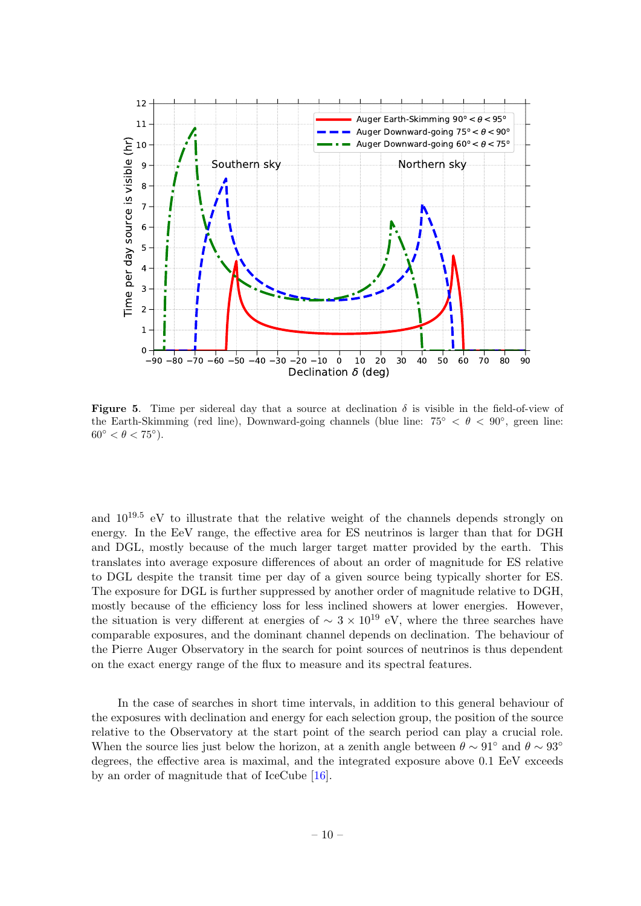

<span id="page-12-0"></span>**Figure 5.** Time per sidereal day that a source at declination  $\delta$  is visible in the field-of-view of the Earth-Skimming (red line), Downward-going channels (blue line:  $75° < \theta < 90°$ , green line:  $60^{\circ} < \theta < 75^{\circ}$ ).

and  $10^{19.5}$  eV to illustrate that the relative weight of the channels depends strongly on energy. In the EeV range, the effective area for ES neutrinos is larger than that for DGH and DGL, mostly because of the much larger target matter provided by the earth. This translates into average exposure differences of about an order of magnitude for ES relative to DGL despite the transit time per day of a given source being typically shorter for ES. The exposure for DGL is further suppressed by another order of magnitude relative to DGH, mostly because of the efficiency loss for less inclined showers at lower energies. However, the situation is very different at energies of  $\sim 3 \times 10^{19}$  eV, where the three searches have comparable exposures, and the dominant channel depends on declination. The behaviour of the Pierre Auger Observatory in the search for point sources of neutrinos is thus dependent on the exact energy range of the flux to measure and its spectral features.

In the case of searches in short time intervals, in addition to this general behaviour of the exposures with declination and energy for each selection group, the position of the source relative to the Observatory at the start point of the search period can play a crucial role. When the source lies just below the horizon, at a zenith angle between  $\theta \sim 91^\circ$  and  $\theta \sim 93^\circ$ degrees, the effective area is maximal, and the integrated exposure above 0.1 EeV exceeds by an order of magnitude that of IceCube [\[16\]](#page-19-5).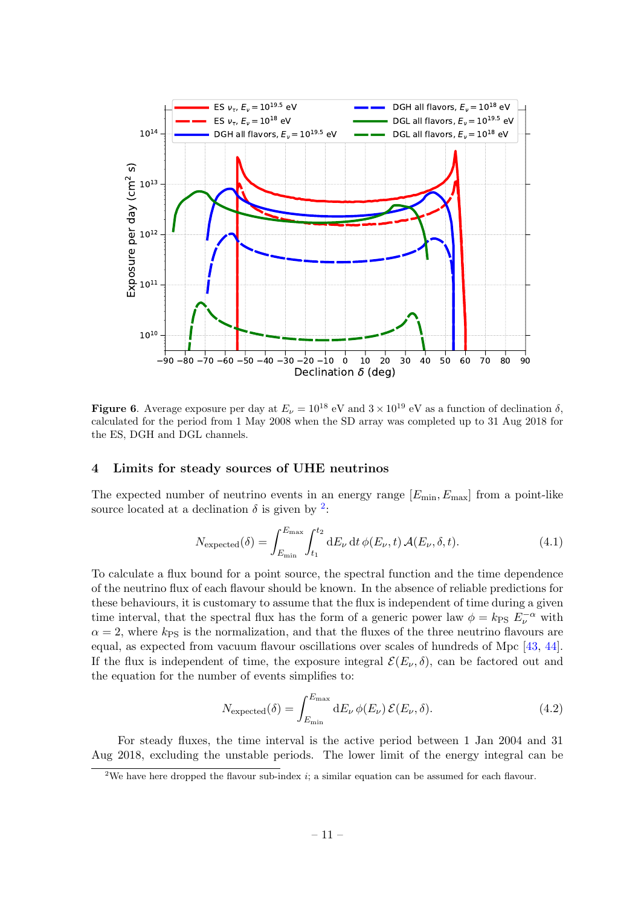

<span id="page-13-1"></span>**Figure 6.** Average exposure per day at  $E_{\nu} = 10^{18}$  eV and  $3 \times 10^{19}$  eV as a function of declination  $\delta$ , calculated for the period from 1 May 2008 when the SD array was completed up to 31 Aug 2018 for the ES, DGH and DGL channels.

#### <span id="page-13-0"></span>4 Limits for steady sources of UHE neutrinos

The expected number of neutrino events in an energy range  $[E_{\min}, E_{\max}]$  from a point-like source located at a declination  $\delta$  is given by <sup>[2](#page-13-2)</sup>:

$$
N_{\text{expected}}(\delta) = \int_{E_{\min}}^{E_{\max}} \int_{t_1}^{t_2} dE_{\nu} dt \, \phi(E_{\nu}, t) \, \mathcal{A}(E_{\nu}, \delta, t). \tag{4.1}
$$

To calculate a flux bound for a point source, the spectral function and the time dependence of the neutrino flux of each flavour should be known. In the absence of reliable predictions for these behaviours, it is customary to assume that the flux is independent of time during a given time interval, that the spectral flux has the form of a generic power law  $\phi = k_{PS} E_{\nu}^{-\alpha}$  with  $\alpha = 2$ , where  $k_{\text{PS}}$  is the normalization, and that the fluxes of the three neutrino flavours are equal, as expected from vacuum flavour oscillations over scales of hundreds of Mpc [\[43,](#page-20-12) [44\]](#page-20-13). If the flux is independent of time, the exposure integral  $\mathcal{E}(E_{\nu},\delta)$ , can be factored out and the equation for the number of events simplifies to:

$$
N_{\text{expected}}(\delta) = \int_{E_{\text{min}}}^{E_{\text{max}}} dE_{\nu} \phi(E_{\nu}) \mathcal{E}(E_{\nu}, \delta). \tag{4.2}
$$

For steady fluxes, the time interval is the active period between 1 Jan 2004 and 31 Aug 2018, excluding the unstable periods. The lower limit of the energy integral can be

<span id="page-13-2"></span><sup>&</sup>lt;sup>2</sup>We have here dropped the flavour sub-index *i*; a similar equation can be assumed for each flavour.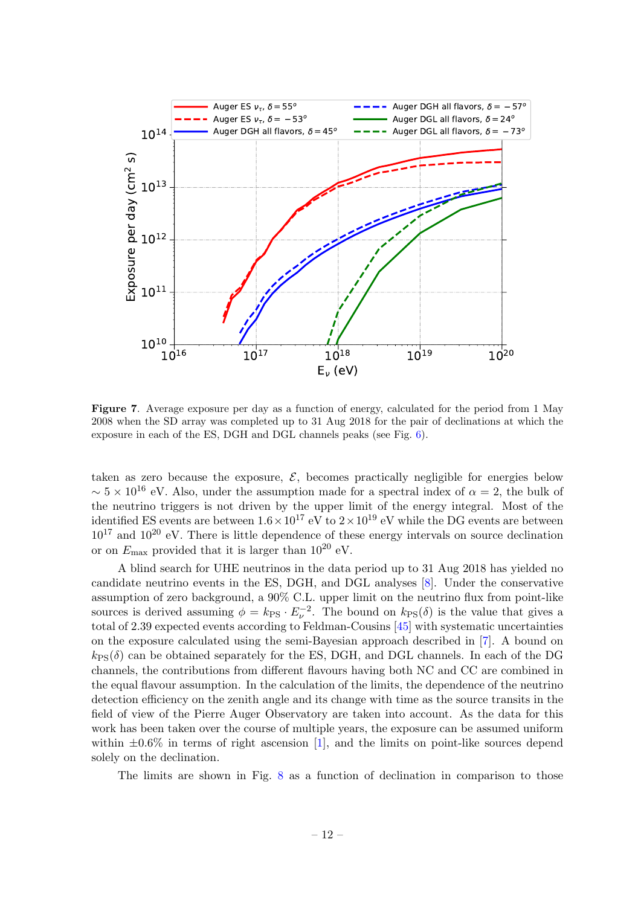

<span id="page-14-0"></span>Figure 7. Average exposure per day as a function of energy, calculated for the period from 1 May 2008 when the SD array was completed up to 31 Aug 2018 for the pair of declinations at which the exposure in each of the ES, DGH and DGL channels peaks (see Fig. [6\)](#page-13-1).

taken as zero because the exposure,  $\mathcal{E}$ , becomes practically negligible for energies below  $\sim 5 \times 10^{16}$  eV. Also, under the assumption made for a spectral index of  $\alpha = 2$ , the bulk of the neutrino triggers is not driven by the upper limit of the energy integral. Most of the identified ES events are between  $1.6 \times 10^{17}$  eV to  $2 \times 10^{19}$  eV while the DG events are between  $10^{17}$  and  $10^{20}$  eV. There is little dependence of these energy intervals on source declination or on  $E_{\text{max}}$  provided that it is larger than  $10^{20}$  eV.

A blind search for UHE neutrinos in the data period up to 31 Aug 2018 has yielded no candidate neutrino events in the ES, DGH, and DGL analyses [\[8\]](#page-18-5). Under the conservative assumption of zero background, a 90% C.L. upper limit on the neutrino flux from point-like sources is derived assuming  $\phi = k_{PS} \cdot E_{\nu}^{-2}$ . The bound on  $k_{PS}(\delta)$  is the value that gives a total of 2.39 expected events according to Feldman-Cousins [\[45\]](#page-20-14) with systematic uncertainties on the exposure calculated using the semi-Bayesian approach described in [\[7\]](#page-18-8). A bound on  $k_{\text{PS}}(\delta)$  can be obtained separately for the ES, DGH, and DGL channels. In each of the DG channels, the contributions from different flavours having both NC and CC are combined in the equal flavour assumption. In the calculation of the limits, the dependence of the neutrino detection efficiency on the zenith angle and its change with time as the source transits in the field of view of the Pierre Auger Observatory are taken into account. As the data for this work has been taken over the course of multiple years, the exposure can be assumed uniform within  $\pm 0.6\%$  in terms of right ascension [\[1\]](#page-18-0), and the limits on point-like sources depend solely on the declination.

The limits are shown in Fig. [8](#page-15-1) as a function of declination in comparison to those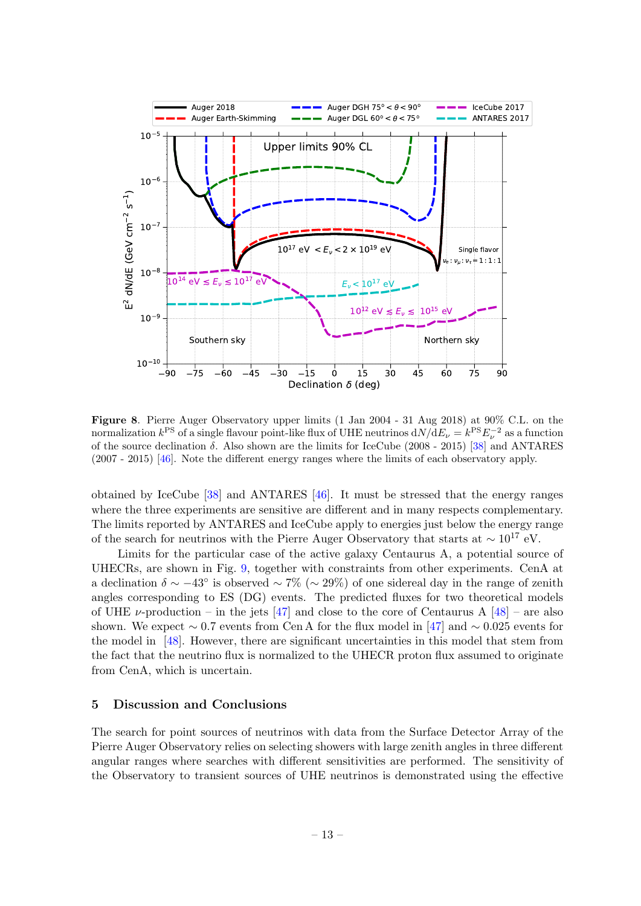

<span id="page-15-1"></span>Figure 8. Pierre Auger Observatory upper limits (1 Jan 2004 - 31 Aug 2018) at 90% C.L. on the normalization  $k^{PS}$  of a single flavour point-like flux of UHE neutrinos  $dN/dE_\nu = k^{PS} E_\nu^{-2}$  as a function of the source declination  $\delta$ . Also shown are the limits for IceCube (2008 - 2015) [\[38\]](#page-20-6) and ANTARES (2007 - 2015) [\[46\]](#page-20-15). Note the different energy ranges where the limits of each observatory apply.

obtained by IceCube [\[38\]](#page-20-6) and ANTARES [\[46\]](#page-20-15). It must be stressed that the energy ranges where the three experiments are sensitive are different and in many respects complementary. The limits reported by ANTARES and IceCube apply to energies just below the energy range of the search for neutrinos with the Pierre Auger Observatory that starts at  $\sim 10^{17}$  eV.

Limits for the particular case of the active galaxy Centaurus A, a potential source of UHECRs, are shown in Fig. [9,](#page-16-0) together with constraints from other experiments. CenA at a declination  $\delta \sim -43^{\circ}$  is observed  $\sim 7\%$  ( $\sim 29\%$ ) of one sidereal day in the range of zenith angles corresponding to ES (DG) events. The predicted fluxes for two theoretical models of UHE  $\nu$ -production – in the jets [\[47\]](#page-20-16) and close to the core of Centaurus A [\[48\]](#page-20-17) – are also shown. We expect  $\sim 0.7$  events from Cen A for the flux model in [\[47\]](#page-20-16) and  $\sim 0.025$  events for the model in [\[48\]](#page-20-17). However, there are significant uncertainties in this model that stem from the fact that the neutrino flux is normalized to the UHECR proton flux assumed to originate from CenA, which is uncertain.

#### <span id="page-15-0"></span>5 Discussion and Conclusions

The search for point sources of neutrinos with data from the Surface Detector Array of the Pierre Auger Observatory relies on selecting showers with large zenith angles in three different angular ranges where searches with different sensitivities are performed. The sensitivity of the Observatory to transient sources of UHE neutrinos is demonstrated using the effective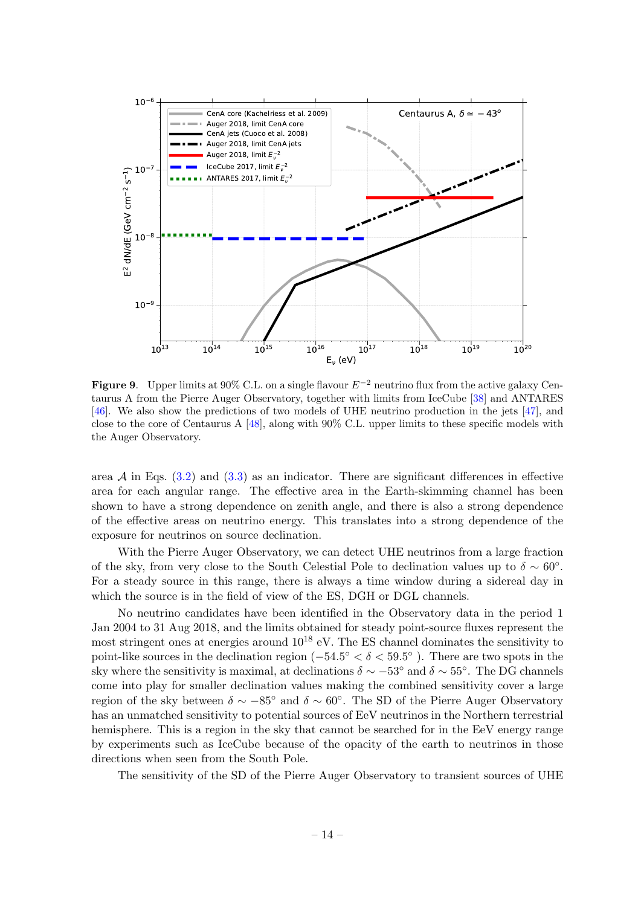

<span id="page-16-0"></span>**Figure 9.** Upper limits at 90% C.L. on a single flavour  $E^{-2}$  neutrino flux from the active galaxy Centaurus A from the Pierre Auger Observatory, together with limits from IceCube [\[38\]](#page-20-6) and ANTARES [\[46\]](#page-20-15). We also show the predictions of two models of UHE neutrino production in the jets [\[47\]](#page-20-16), and close to the core of Centaurus A [\[48\]](#page-20-17), along with 90% C.L. upper limits to these specific models with the Auger Observatory.

area  $A$  in Eqs. [\(3.2\)](#page-6-3) and [\(3.3\)](#page-8-0) as an indicator. There are significant differences in effective area for each angular range. The effective area in the Earth-skimming channel has been shown to have a strong dependence on zenith angle, and there is also a strong dependence of the effective areas on neutrino energy. This translates into a strong dependence of the exposure for neutrinos on source declination.

With the Pierre Auger Observatory, we can detect UHE neutrinos from a large fraction of the sky, from very close to the South Celestial Pole to declination values up to  $\delta \sim 60^{\circ}$ . For a steady source in this range, there is always a time window during a sidereal day in which the source is in the field of view of the ES, DGH or DGL channels.

No neutrino candidates have been identified in the Observatory data in the period 1 Jan 2004 to 31 Aug 2018, and the limits obtained for steady point-source fluxes represent the most stringent ones at energies around  $10^{18}$  eV. The ES channel dominates the sensitivity to point-like sources in the declination region  $(-54.5^{\circ} < \delta < 59.5^{\circ})$ . There are two spots in the sky where the sensitivity is maximal, at declinations  $\delta \sim -53^{\circ}$  and  $\delta \sim 55^{\circ}$ . The DG channels come into play for smaller declination values making the combined sensitivity cover a large region of the sky between  $\delta \sim -85^{\circ}$  and  $\delta \sim 60^{\circ}$ . The SD of the Pierre Auger Observatory has an unmatched sensitivity to potential sources of EeV neutrinos in the Northern terrestrial hemisphere. This is a region in the sky that cannot be searched for in the EeV energy range by experiments such as IceCube because of the opacity of the earth to neutrinos in those directions when seen from the South Pole.

The sensitivity of the SD of the Pierre Auger Observatory to transient sources of UHE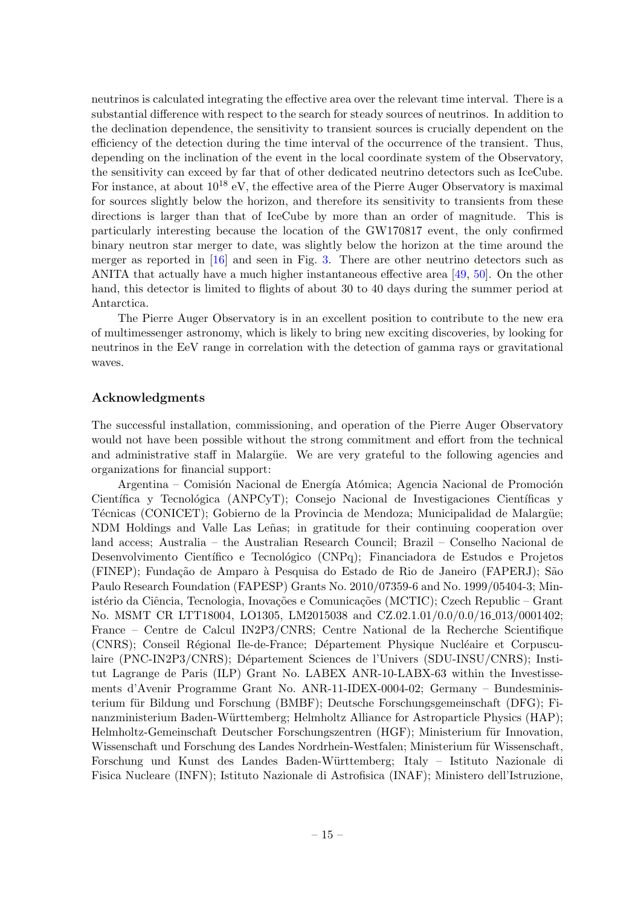neutrinos is calculated integrating the effective area over the relevant time interval. There is a substantial difference with respect to the search for steady sources of neutrinos. In addition to the declination dependence, the sensitivity to transient sources is crucially dependent on the efficiency of the detection during the time interval of the occurrence of the transient. Thus, depending on the inclination of the event in the local coordinate system of the Observatory, the sensitivity can exceed by far that of other dedicated neutrino detectors such as IceCube. For instance, at about  $10^{18}$  eV, the effective area of the Pierre Auger Observatory is maximal for sources slightly below the horizon, and therefore its sensitivity to transients from these directions is larger than that of IceCube by more than an order of magnitude. This is particularly interesting because the location of the GW170817 event, the only confirmed binary neutron star merger to date, was slightly below the horizon at the time around the merger as reported in  $[16]$  and seen in Fig. [3.](#page-10-1) There are other neutrino detectors such as ANITA that actually have a much higher instantaneous effective area [\[49,](#page-20-18) [50\]](#page-20-19). On the other hand, this detector is limited to flights of about 30 to 40 days during the summer period at Antarctica.

The Pierre Auger Observatory is in an excellent position to contribute to the new era of multimessenger astronomy, which is likely to bring new exciting discoveries, by looking for neutrinos in the EeV range in correlation with the detection of gamma rays or gravitational waves.

## Acknowledgments

The successful installation, commissioning, and operation of the Pierre Auger Observatory would not have been possible without the strong commitment and effort from the technical and administrative staff in Malargüe. We are very grateful to the following agencies and organizations for financial support:

Argentina – Comisión Nacional de Energía Atómica; Agencia Nacional de Promoción Científica y Tecnológica (ANPCyT); Consejo Nacional de Investigaciones Científicas y Técnicas (CONICET); Gobierno de la Provincia de Mendoza; Municipalidad de Malargüe; NDM Holdings and Valle Las Leñas; in gratitude for their continuing cooperation over land access; Australia – the Australian Research Council; Brazil – Conselho Nacional de Desenvolvimento Científico e Tecnológico (CNPq); Financiadora de Estudos e Projetos (FINEP); Fundação de Amparo à Pesquisa do Estado de Rio de Janeiro (FAPERJ); São Paulo Research Foundation (FAPESP) Grants No. 2010/07359-6 and No. 1999/05404-3; Ministério da Ciência, Tecnologia, Inovações e Comunicações (MCTIC); Czech Republic – Grant No. MSMT CR LTT18004, LO1305, LM2015038 and CZ.02.1.01/0.0/0.0/16 013/0001402; France – Centre de Calcul IN2P3/CNRS; Centre National de la Recherche Scientifique (CNRS); Conseil Régional Ile-de-France; Département Physique Nucléaire et Corpusculaire (PNC-IN2P3/CNRS); Département Sciences de l'Univers (SDU-INSU/CNRS); Institut Lagrange de Paris (ILP) Grant No. LABEX ANR-10-LABX-63 within the Investissements d'Avenir Programme Grant No. ANR-11-IDEX-0004-02; Germany – Bundesministerium für Bildung und Forschung (BMBF); Deutsche Forschungsgemeinschaft (DFG); Finanzministerium Baden-Württemberg; Helmholtz Alliance for Astroparticle Physics (HAP); Helmholtz-Gemeinschaft Deutscher Forschungszentren (HGF); Ministerium für Innovation, Wissenschaft und Forschung des Landes Nordrhein-Westfalen; Ministerium für Wissenschaft, Forschung und Kunst des Landes Baden-W¨urttemberg; Italy – Istituto Nazionale di Fisica Nucleare (INFN); Istituto Nazionale di Astrofisica (INAF); Ministero dell'Istruzione,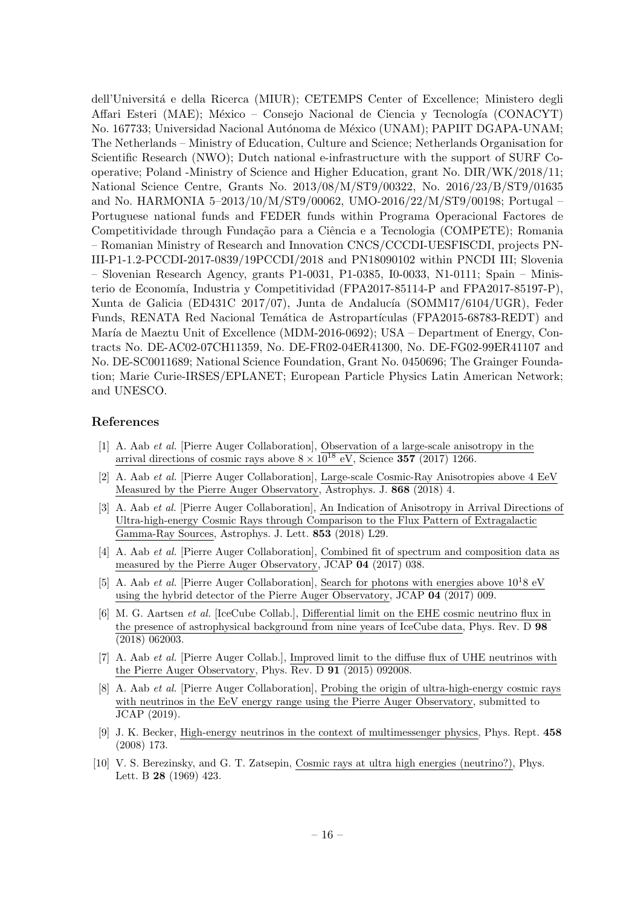dell'Universitá e della Ricerca (MIUR); CETEMPS Center of Excellence; Ministero degli Affari Esteri (MAE); México – Consejo Nacional de Ciencia y Tecnología (CONACYT) No. 167733; Universidad Nacional Autónoma de México (UNAM); PAPIIT DGAPA-UNAM; The Netherlands – Ministry of Education, Culture and Science; Netherlands Organisation for Scientific Research (NWO); Dutch national e-infrastructure with the support of SURF Cooperative; Poland -Ministry of Science and Higher Education, grant No. DIR/WK/2018/11; National Science Centre, Grants No. 2013/08/M/ST9/00322, No. 2016/23/B/ST9/01635 and No. HARMONIA 5–2013/10/M/ST9/00062, UMO-2016/22/M/ST9/00198; Portugal – Portuguese national funds and FEDER funds within Programa Operacional Factores de Competitividade through Fundação para a Ciência e a Tecnologia (COMPETE); Romania – Romanian Ministry of Research and Innovation CNCS/CCCDI-UESFISCDI, projects PN-III-P1-1.2-PCCDI-2017-0839/19PCCDI/2018 and PN18090102 within PNCDI III; Slovenia – Slovenian Research Agency, grants P1-0031, P1-0385, I0-0033, N1-0111; Spain – Ministerio de Economía, Industria y Competitividad (FPA2017-85114-P and FPA2017-85197-P), Xunta de Galicia (ED431C 2017/07), Junta de Andalucía (SOMM17/6104/UGR), Feder Funds, RENATA Red Nacional Temática de Astropartículas (FPA2015-68783-REDT) and María de Maeztu Unit of Excellence (MDM-2016-0692); USA – Department of Energy, Contracts No. DE-AC02-07CH11359, No. DE-FR02-04ER41300, No. DE-FG02-99ER41107 and No. DE-SC0011689; National Science Foundation, Grant No. 0450696; The Grainger Foundation; Marie Curie-IRSES/EPLANET; European Particle Physics Latin American Network; and UNESCO.

#### References

- <span id="page-18-0"></span>[1] A. Aab et al. [Pierre Auger Collaboration], Observation of a large-scale anisotropy in the arrival directions of cosmic rays above  $8 \times 10^{18}$  eV, Science 357 (2017) 1266.
- [2] A. Aab et al. [Pierre Auger Collaboration], Large-scale Cosmic-Ray Anisotropies above 4 EeV Measured by the Pierre Auger Observatory, Astrophys. J. 868 (2018) 4.
- <span id="page-18-1"></span>[3] A. Aab et al. [Pierre Auger Collaboration], An Indication of Anisotropy in Arrival Directions of Ultra-high-energy Cosmic Rays through Comparison to the Flux Pattern of Extragalactic Gamma-Ray Sources, Astrophys. J. Lett. 853 (2018) L29.
- <span id="page-18-2"></span>[4] A. Aab et al. [Pierre Auger Collaboration], Combined fit of spectrum and composition data as measured by the Pierre Auger Observatory, JCAP 04 (2017) 038.
- <span id="page-18-3"></span>[5] A. Aab *et al.* [Pierre Auger Collaboration], Search for photons with energies above  $10^18$  eV using the hybrid detector of the Pierre Auger Observatory, JCAP 04 (2017) 009.
- <span id="page-18-4"></span>[6] M. G. Aartsen et al. [IceCube Collab.], Differential limit on the EHE cosmic neutrino flux in the presence of astrophysical background from nine years of IceCube data, Phys. Rev. D 98 (2018) 062003.
- <span id="page-18-8"></span>[7] A. Aab et al. [Pierre Auger Collab.], Improved limit to the diffuse flux of UHE neutrinos with the Pierre Auger Observatory, Phys. Rev. D 91 (2015) 092008.
- <span id="page-18-5"></span>[8] A. Aab et al. [Pierre Auger Collaboration], Probing the origin of ultra-high-energy cosmic rays with neutrinos in the EeV energy range using the Pierre Auger Observatory, submitted to JCAP (2019).
- <span id="page-18-6"></span>[9] J. K. Becker, High-energy neutrinos in the context of multimessenger physics, Phys. Rept. 458 (2008) 173.
- <span id="page-18-7"></span>[10] V. S. Berezinsky, and G. T. Zatsepin, Cosmic rays at ultra high energies (neutrino?), Phys. Lett. B 28 (1969) 423.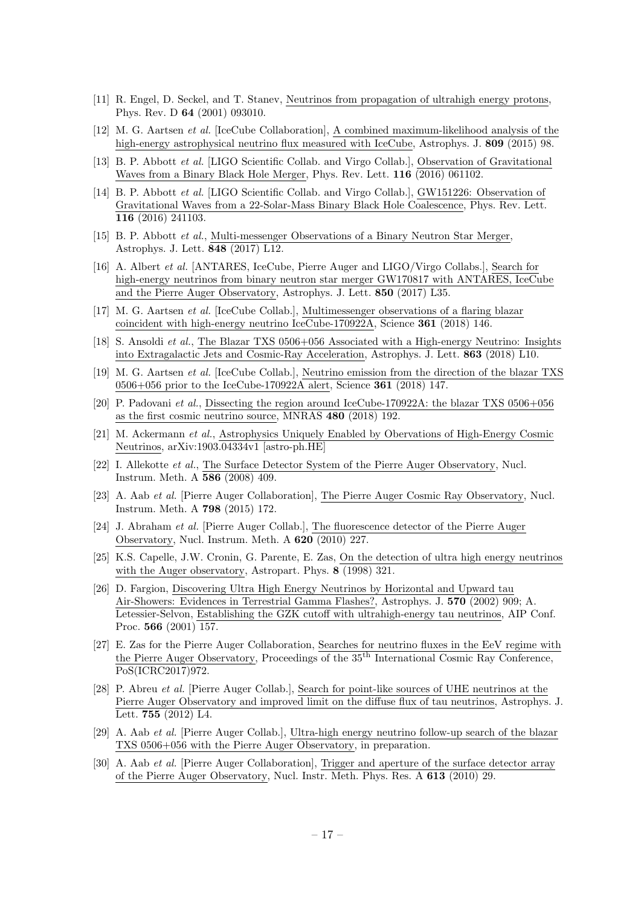- <span id="page-19-0"></span>[11] R. Engel, D. Seckel, and T. Stanev, Neutrinos from propagation of ultrahigh energy protons, Phys. Rev. D 64 (2001) 093010.
- <span id="page-19-1"></span>[12] M. G. Aartsen et al. [IceCube Collaboration], A combined maximum-likelihood analysis of the high-energy astrophysical neutrino flux measured with IceCube, Astrophys. J. **809** (2015) 98.
- <span id="page-19-2"></span>[13] B. P. Abbott et al. [LIGO Scientific Collab. and Virgo Collab.], Observation of Gravitational Waves from a Binary Black Hole Merger, Phys. Rev. Lett. 116 (2016) 061102.
- <span id="page-19-3"></span>[14] B. P. Abbott *et al.* [LIGO Scientific Collab. and Virgo Collab.], GW151226: Observation of Gravitational Waves from a 22-Solar-Mass Binary Black Hole Coalescence, Phys. Rev. Lett. 116 (2016) 241103.
- <span id="page-19-4"></span>[15] B. P. Abbott et al., Multi-messenger Observations of a Binary Neutron Star Merger, Astrophys. J. Lett. 848 (2017) L12.
- <span id="page-19-5"></span>[16] A. Albert et al. [ANTARES, IceCube, Pierre Auger and LIGO/Virgo Collabs.], Search for high-energy neutrinos from binary neutron star merger GW170817 with ANTARES, IceCube and the Pierre Auger Observatory, Astrophys. J. Lett. 850 (2017) L35.
- <span id="page-19-6"></span>[17] M. G. Aartsen et al. [IceCube Collab.], Multimessenger observations of a flaring blazar coincident with high-energy neutrino IceCube-170922A, Science 361 (2018) 146.
- <span id="page-19-7"></span>[18] S. Ansoldi et al., The Blazar TXS 0506+056 Associated with a High-energy Neutrino: Insights into Extragalactic Jets and Cosmic-Ray Acceleration, Astrophys. J. Lett. 863 (2018) L10.
- <span id="page-19-8"></span>[19] M. G. Aartsen et al. [IceCube Collab.], Neutrino emission from the direction of the blazar TXS 0506+056 prior to the IceCube-170922A alert, Science 361 (2018) 147.
- <span id="page-19-9"></span>[20] P. Padovani et al., Dissecting the region around IceCube-170922A: the blazar TXS 0506+056 as the first cosmic neutrino source, MNRAS 480 (2018) 192.
- <span id="page-19-10"></span>[21] M. Ackermann et al., Astrophysics Uniquely Enabled by Obervations of High-Energy Cosmic Neutrinos, arXiv:1903.04334v1 [astro-ph.HE]
- <span id="page-19-11"></span>[22] I. Allekotte et al., The Surface Detector System of the Pierre Auger Observatory, Nucl. Instrum. Meth. A 586 (2008) 409.
- <span id="page-19-12"></span>[23] A. Aab et al. [Pierre Auger Collaboration], The Pierre Auger Cosmic Ray Observatory, Nucl. Instrum. Meth. A 798 (2015) 172.
- <span id="page-19-13"></span>[24] J. Abraham et al. [Pierre Auger Collab.], The fluorescence detector of the Pierre Auger Observatory, Nucl. Instrum. Meth. A 620 (2010) 227.
- <span id="page-19-14"></span>[25] K.S. Capelle, J.W. Cronin, G. Parente, E. Zas, On the detection of ultra high energy neutrinos with the Auger observatory, Astropart. Phys. 8 (1998) 321.
- <span id="page-19-15"></span>[26] D. Fargion, Discovering Ultra High Energy Neutrinos by Horizontal and Upward tau Air-Showers: Evidences in Terrestrial Gamma Flashes?, Astrophys. J. 570 (2002) 909; A. Letessier-Selvon, Establishing the GZK cutoff with ultrahigh-energy tau neutrinos, AIP Conf. Proc. 566 (2001) 157.
- <span id="page-19-16"></span>[27] E. Zas for the Pierre Auger Collaboration, Searches for neutrino fluxes in the EeV regime with the Pierre Auger Observatory, Proceedings of the 35th International Cosmic Ray Conference, PoS(ICRC2017)972.
- <span id="page-19-17"></span>[28] P. Abreu et al. [Pierre Auger Collab.], Search for point-like sources of UHE neutrinos at the Pierre Auger Observatory and improved limit on the diffuse flux of tau neutrinos, Astrophys. J. Lett. 755 (2012) L4.
- <span id="page-19-18"></span>[29] A. Aab et al. [Pierre Auger Collab.], Ultra-high energy neutrino follow-up search of the blazar TXS 0506+056 with the Pierre Auger Observatory, in preparation.
- <span id="page-19-19"></span>[30] A. Aab et al. [Pierre Auger Collaboration], Trigger and aperture of the surface detector array of the Pierre Auger Observatory, Nucl. Instr. Meth. Phys. Res. A 613 (2010) 29.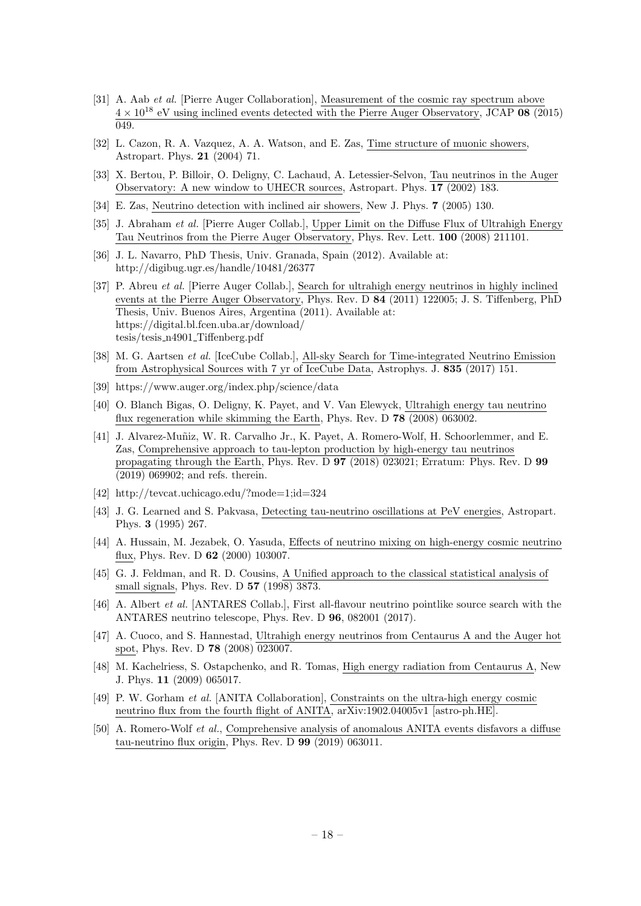- <span id="page-20-0"></span>[31] A. Aab et al. [Pierre Auger Collaboration], Measurement of the cosmic ray spectrum above  $4 \times 10^{18}$  eV using inclined events detected with the Pierre Auger Observatory, JCAP 08 (2015) 049.
- <span id="page-20-1"></span>[32] L. Cazon, R. A. Vazquez, A. A. Watson, and E. Zas, Time structure of muonic showers, Astropart. Phys. 21 (2004) 71.
- <span id="page-20-10"></span>[33] X. Bertou, P. Billoir, O. Deligny, C. Lachaud, A. Letessier-Selvon, Tau neutrinos in the Auger Observatory: A new window to UHECR sources, Astropart. Phys. 17 (2002) 183.
- <span id="page-20-2"></span>[34] E. Zas, Neutrino detection with inclined air showers, New J. Phys. 7 (2005) 130.
- <span id="page-20-3"></span>[35] J. Abraham et al. [Pierre Auger Collab.], Upper Limit on the Diffuse Flux of Ultrahigh Energy Tau Neutrinos from the Pierre Auger Observatory, Phys. Rev. Lett. 100 (2008) 211101.
- <span id="page-20-4"></span>[36] J. L. Navarro, PhD Thesis, Univ. Granada, Spain (2012). Available at: http://digibug.ugr.es/handle/10481/26377
- <span id="page-20-5"></span>[37] P. Abreu et al. [Pierre Auger Collab.], Search for ultrahigh energy neutrinos in highly inclined events at the Pierre Auger Observatory, Phys. Rev. D 84 (2011) 122005; J. S. Tiffenberg, PhD Thesis, Univ. Buenos Aires, Argentina (2011). Available at: https://digital.bl.fcen.uba.ar/download/ tesis/tesis n4901 Tiffenberg.pdf
- <span id="page-20-6"></span>[38] M. G. Aartsen et al. [IceCube Collab.], All-sky Search for Time-integrated Neutrino Emission from Astrophysical Sources with 7 yr of IceCube Data, Astrophys. J. 835 (2017) 151.
- <span id="page-20-7"></span>[39] https://www.auger.org/index.php/science/data
- <span id="page-20-8"></span>[40] O. Blanch Bigas, O. Deligny, K. Payet, and V. Van Elewyck, Ultrahigh energy tau neutrino flux regeneration while skimming the Earth, Phys. Rev. D 78 (2008) 063002.
- <span id="page-20-9"></span>[41] J. Alvarez-Muñiz, W. R. Carvalho Jr., K. Payet, A. Romero-Wolf, H. Schoorlemmer, and E. Zas, Comprehensive approach to tau-lepton production by high-energy tau neutrinos propagating through the Earth, Phys. Rev. D 97 (2018) 023021; Erratum: Phys. Rev. D 99 (2019) 069902; and refs. therein.
- <span id="page-20-11"></span>[42] http://tevcat.uchicago.edu/?mode=1;id=324
- <span id="page-20-12"></span>[43] J. G. Learned and S. Pakvasa, Detecting tau-neutrino oscillations at PeV energies, Astropart. Phys. 3 (1995) 267.
- <span id="page-20-13"></span>[44] A. Hussain, M. Jezabek, O. Yasuda, Effects of neutrino mixing on high-energy cosmic neutrino flux, Phys. Rev. D 62 (2000) 103007.
- <span id="page-20-14"></span>[45] G. J. Feldman, and R. D. Cousins, A Unified approach to the classical statistical analysis of small signals, Phys. Rev. D 57 (1998) 3873.
- <span id="page-20-15"></span>[46] A. Albert et al. [ANTARES Collab.], First all-flavour neutrino pointlike source search with the ANTARES neutrino telescope, Phys. Rev. D 96, 082001 (2017).
- <span id="page-20-16"></span>[47] A. Cuoco, and S. Hannestad, Ultrahigh energy neutrinos from Centaurus A and the Auger hot spot, Phys. Rev. D 78 (2008) 023007.
- <span id="page-20-17"></span>[48] M. Kachelriess, S. Ostapchenko, and R. Tomas, High energy radiation from Centaurus A, New J. Phys. 11 (2009) 065017.
- <span id="page-20-18"></span>[49] P. W. Gorham et al. [ANITA Collaboration], Constraints on the ultra-high energy cosmic neutrino flux from the fourth flight of ANITA, arXiv:1902.04005v1 [astro-ph.HE].
- <span id="page-20-19"></span>[50] A. Romero-Wolf et al., Comprehensive analysis of anomalous ANITA events disfavors a diffuse tau-neutrino flux origin, Phys. Rev. D 99 (2019) 063011.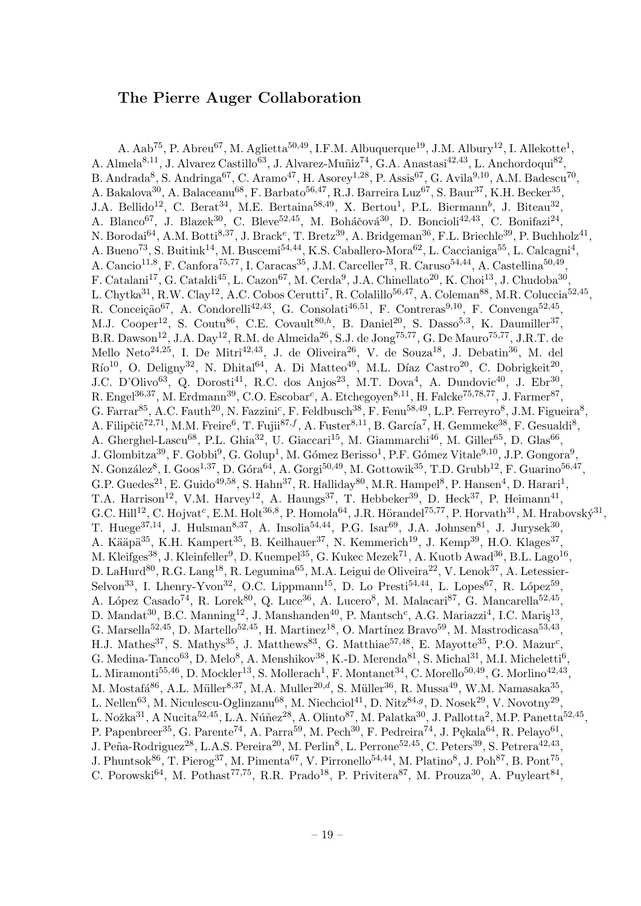# The Pierre Auger Collaboration

A. Aab<sup>75</sup>, P. Abreu<sup>67</sup>, M. Aglietta<sup>50,49</sup>, I.F.M. Albuquerque<sup>19</sup>, J.M. Albury<sup>12</sup>, I. Allekotte<sup>1</sup>, A. Almela<sup>8,11</sup>, J. Alvarez Castillo<sup>63</sup>, J. Alvarez-Muñiz<sup>74</sup>, G.A. Anastasi<sup>42,43</sup>, L. Anchordoqui<sup>82</sup>, B. Andrada<sup>8</sup>, S. Andringa<sup>67</sup>, C. Aramo<sup>47</sup>, H. Asorey<sup>1,28</sup>, P. Assis<sup>67</sup>, G. Avila<sup>9,10</sup>, A.M. Badescu<sup>70</sup>, A. Bakalova<sup>30</sup>, A. Balaceanu<sup>68</sup>, F. Barbato<sup>56,47</sup>, R.J. Barreira Luz<sup>67</sup>, S. Baur<sup>37</sup>, K.H. Becker<sup>35</sup>, J.A. Bellido<sup>12</sup>, C. Berat<sup>34</sup>, M.E. Bertaina<sup>58,49</sup>, X. Bertou<sup>1</sup>, P.L. Biermann<sup>b</sup>, J. Biteau<sup>32</sup>, A. Blanco<sup>67</sup>, J. Blazek<sup>30</sup>, C. Bleve<sup>52,45</sup>, M. Boháčová<sup>30</sup>, D. Boncioli<sup>42,43</sup>, C. Bonifazi<sup>24</sup>, N. Borodai $^{64}$ , A.M. Botti $^{8,37}$ , J. Brack $^e$ , T. Bretz $^{39}$ , A. Bridgeman $^{36}$ , F.L. Briechle $^{39}$ , P. Buchholz $^{41}$ , A. Bueno<sup>73</sup>, S. Buitink<sup>14</sup>, M. Buscemi<sup>54,44</sup>, K.S. Caballero-Mora<sup>62</sup>, L. Caccianiga<sup>55</sup>, L. Calcagni<sup>4</sup>, A. Cancio<sup>11,8</sup>, F. Canfora<sup>75,77</sup>, I. Caracas<sup>35</sup>, J.M. Carceller<sup>73</sup>, R. Caruso<sup>54,44</sup>, A. Castellina<sup>50,49</sup>, F. Catalani<sup>17</sup>, G. Cataldi<sup>45</sup>, L. Cazon<sup>67</sup>, M. Cerda<sup>9</sup>, J.A. Chinellato<sup>20</sup>, K. Choi<sup>13</sup>, J. Chudoba<sup>30</sup>, L. Chytka<sup>31</sup>, R.W. Clay<sup>12</sup>, A.C. Cobos Cerutti<sup>7</sup>, R. Colalillo<sup>56,47</sup>, A. Coleman<sup>88</sup>, M.R. Coluccia<sup>52,45</sup>, R. Conceição<sup>67</sup>, A. Condorelli<sup>42,43</sup>, G. Consolati<sup>46,51</sup>, F. Contreras<sup>9,10</sup>, F. Convenga<sup>52,45</sup>, M.J. Cooper<sup>12</sup>, S. Coutu<sup>86</sup>, C.E. Covault<sup>80,h</sup>, B. Daniel<sup>20</sup>, S. Dasso<sup>5,3</sup>, K. Daumiller<sup>37</sup>, B.R. Dawson<sup>12</sup>, J.A. Day<sup>12</sup>, R.M. de Almeida<sup>26</sup>, S.J. de Jong<sup>75,77</sup>, G. De Mauro<sup>75,77</sup>, J.R.T. de Mello Neto<sup>24,25</sup>, I. De Mitri<sup>42,43</sup>, J. de Oliveira<sup>26</sup>, V. de Souza<sup>18</sup>, J. Debatin<sup>36</sup>, M. del  $\rm Río^{10}$ , O. Deligny<sup>32</sup>, N. Dhital<sup>64</sup>, A. Di Matteo<sup>49</sup>, M.L. Díaz Castro<sup>20</sup>, C. Dobrigkeit<sup>20</sup>, J.C. D'Olivo<sup>63</sup>, Q. Dorosti<sup>41</sup>, R.C. dos Anjos<sup>23</sup>, M.T. Dova<sup>4</sup>, A. Dundovic<sup>40</sup>, J. Ebr<sup>30</sup>, R. Engel<sup>36,37</sup>, M. Erdmann<sup>39</sup>, C.O. Escobar<sup>c</sup>, A. Etchegoyen<sup>8,11</sup>, H. Falcke<sup>75,78,77</sup>, J. Farmer<sup>87</sup>, G. Farrar<sup>85</sup>, A.C. Fauth<sup>20</sup>, N. Fazzini<sup>c</sup>, F. Feldbusch<sup>38</sup>, F. Fenu<sup>58,49</sup>, L.P. Ferreyro<sup>8</sup>, J.M. Figueira<sup>8</sup>, A. Filipčič<sup>72,71</sup>, M.M. Freire<sup>6</sup>, T. Fujii<sup>87,f</sup>, A. Fuster<sup>8,11</sup>, B. García<sup>7</sup>, H. Gemmeke<sup>38</sup>, F. Gesualdi<sup>8</sup>, A. Gherghel-Lascu<sup>68</sup>, P.L. Ghia<sup>32</sup>, U. Giaccari<sup>15</sup>, M. Giammarchi<sup>46</sup>, M. Giller<sup>65</sup>, D. Głas<sup>66</sup>, J. Glombitza<sup>39</sup>, F. Gobbi<sup>9</sup>, G. Golup<sup>1</sup>, M. Gómez Berisso<sup>1</sup>, P.F. Gómez Vitale<sup>9,10</sup>, J.P. Gongora<sup>9</sup>, N. González<sup>8</sup>, I. Goos<sup>1,37</sup>, D. Góra<sup>64</sup>, A. Gorgi<sup>50,49</sup>, M. Gottowik<sup>35</sup>, T.D. Grubb<sup>12</sup>, F. Guarino<sup>56,47</sup>, G.P. Guedes<sup>21</sup>, E. Guido<sup>49,58</sup>, S. Hahn<sup>37</sup>, R. Halliday<sup>80</sup>, M.R. Hampel<sup>8</sup>, P. Hansen<sup>4</sup>, D. Harari<sup>1</sup>, T.A. Harrison<sup>12</sup>, V.M. Harvey<sup>12</sup>, A. Haungs<sup>37</sup>, T. Hebbeker<sup>39</sup>, D. Heck<sup>37</sup>, P. Heimann<sup>41</sup>, G.C. Hill<sup>12</sup>, C. Hojvat<sup>c</sup>, E.M. Holt<sup>36,8</sup>, P. Homola<sup>64</sup>, J.R. Hörandel<sup>75,77</sup>, P. Horvath<sup>31</sup>, M. Hrabovský<sup>31</sup>, T. Huege<sup>37,14</sup>, J. Hulsman<sup>8,37</sup>, A. Insolia<sup>54,44</sup>, P.G. Isar<sup>69</sup>, J.A. Johnsen<sup>81</sup>, J. Jurysek<sup>30</sup>, A. Kääpä<sup>35</sup>, K.H. Kampert<sup>35</sup>, B. Keilhauer<sup>37</sup>, N. Kemmerich<sup>19</sup>, J. Kemp<sup>39</sup>, H.O. Klages<sup>37</sup>, M. Kleifges<sup>38</sup>, J. Kleinfeller<sup>9</sup>, D. Kuempel<sup>35</sup>, G. Kukec Mezek<sup>71</sup>, A. Kuotb Awad<sup>36</sup>, B.L. Lago<sup>16</sup>, D. LaHurd<sup>80</sup>, R.G. Lang<sup>18</sup>, R. Legumina<sup>65</sup>, M.A. Leigui de Oliveira<sup>22</sup>, V. Lenok<sup>37</sup>, A. Letessier-Selvon<sup>33</sup>, I. Lhenry-Yvon<sup>32</sup>, O.C. Lippmann<sup>15</sup>, D. Lo Presti<sup>54,44</sup>, L. Lopes<sup>67</sup>, R. López<sup>59</sup>, A. López Casado<sup>74</sup>, R. Lorek<sup>80</sup>, Q. Luce<sup>36</sup>, A. Lucero<sup>8</sup>, M. Malacari<sup>87</sup>, G. Mancarella<sup>52,45</sup>, D. Mandat<sup>30</sup>, B.C. Manning<sup>12</sup>, J. Manshanden<sup>40</sup>, P. Mantsch<sup>c</sup>, A.G. Mariazzi<sup>4</sup>, I.C. Mariş<sup>13</sup>, G. Marsella<sup>52,45</sup>, D. Martello<sup>52,45</sup>, H. Martinez<sup>18</sup>, O. Martínez Bravo<sup>59</sup>, M. Mastrodicasa<sup>53,43</sup>, H.J. Mathes<sup>37</sup>, S. Mathys<sup>35</sup>, J. Matthews<sup>83</sup>, G. Matthiae<sup>57,48</sup>, E. Mayotte<sup>35</sup>, P.O. Mazur<sup>c</sup>, G. Medina-Tanco<sup>63</sup>, D. Melo<sup>8</sup>, A. Menshikov<sup>38</sup>, K.-D. Merenda<sup>81</sup>, S. Michal<sup>31</sup>, M.I. Micheletti<sup>6</sup>, L. Miramonti $^{55,46}$ , D. Mockler<sup>13</sup>, S. Mollerach<sup>1</sup>, F. Montanet<sup>34</sup>, C. Morello<sup>50,49</sup>, G. Morlino<sup>42,43</sup>, M. Mostafá $^{86}$ , A.L. Müller $^{8,37}$ , M.A. Muller $^{20,d}$ , S. Müller $^{36}$ , R. Mussa $^{49}$ , W.M. Namasaka $^{35}$ , L. Nellen<sup>63</sup>, M. Niculescu-Oglinzanu<sup>68</sup>, M. Niechciol<sup>41</sup>, D. Nitz<sup>84,9</sup>, D. Nosek<sup>29</sup>, V. Novotny<sup>29</sup>, L. Nožka $^{31}$ , A Nucita $^{52,45}$ , L.A. Núñez $^{28}$ , A. Olinto $^{87}$ , M. Palatka $^{30}$ , J. Pallotta<sup>2</sup>, M.P. Panetta $^{52,45}$ , P. Papenbreer<sup>35</sup>, G. Parente<sup>74</sup>, A. Parra<sup>59</sup>, M. Pech<sup>30</sup>, F. Pedreira<sup>74</sup>, J. Pękala<sup>64</sup>, R. Pelayo<sup>61</sup>, J. Peña-Rodriguez<sup>28</sup>, L.A.S. Pereira<sup>20</sup>, M. Perlin<sup>8</sup>, L. Perrone<sup>52,45</sup>, C. Peters<sup>39</sup>, S. Petrera<sup>42,43</sup>, J. Phuntsok<sup>86</sup>, T. Pierog<sup>37</sup>, M. Pimenta<sup>67</sup>, V. Pirronello<sup>54,44</sup>, M. Platino<sup>8</sup>, J. Poh<sup>87</sup>, B. Pont<sup>75</sup>, C. Porowski<sup>64</sup>, M. Pothast<sup>77,75</sup>, R.R. Prado<sup>18</sup>, P. Privitera<sup>87</sup>, M. Prouza<sup>30</sup>, A. Puyleart<sup>84</sup>,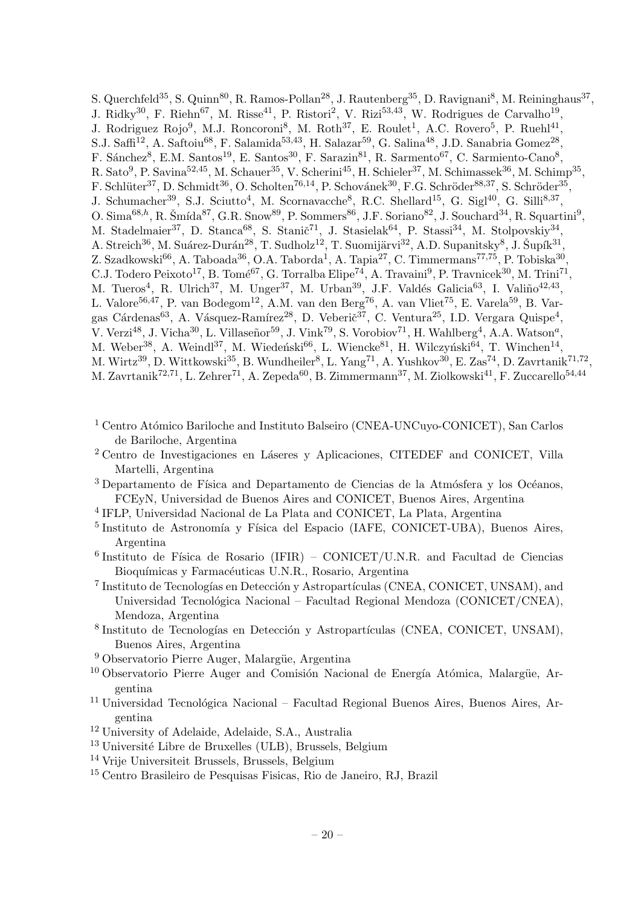S. Querchfeld<sup>35</sup>, S. Quinn<sup>80</sup>, R. Ramos-Pollan<sup>28</sup>, J. Rautenberg<sup>35</sup>, D. Ravignani<sup>8</sup>, M. Reininghaus<sup>37</sup>, J. Ridky<sup>30</sup>, F. Riehn<sup>67</sup>, M. Risse<sup>41</sup>, P. Ristori<sup>2</sup>, V. Rizi<sup>53,43</sup>, W. Rodrigues de Carvalho<sup>19</sup>, J. Rodriguez Rojo<sup>9</sup>, M.J. Roncoroni<sup>8</sup>, M. Roth<sup>37</sup>, E. Roulet<sup>1</sup>, A.C. Rovero<sup>5</sup>, P. Ruehl<sup>41</sup>, S.J. Saffi<sup>12</sup>, A. Saftoiu<sup>68</sup>, F. Salamida<sup>53,43</sup>, H. Salazar<sup>59</sup>, G. Salina<sup>48</sup>, J.D. Sanabria Gomez<sup>28</sup>, F. Sánchez<sup>8</sup>, E.M. Santos<sup>19</sup>, E. Santos<sup>30</sup>, F. Sarazin<sup>81</sup>, R. Sarmento<sup>67</sup>, C. Sarmiento-Cano<sup>8</sup>, R. Sato<sup>9</sup>, P. Savina<sup>52,45</sup>, M. Schauer<sup>35</sup>, V. Scherini<sup>45</sup>, H. Schieler<sup>37</sup>, M. Schimassek<sup>36</sup>, M. Schimp<sup>35</sup>, F. Schlüter<sup>37</sup>, D. Schmidt<sup>36</sup>, O. Scholten<sup>76,14</sup>, P. Schovánek<sup>30</sup>, F.G. Schröder<sup>88,37</sup>, S. Schröder<sup>35</sup>, J. Schumacher<sup>39</sup>, S.J. Sciutto<sup>4</sup>, M. Scornavacche<sup>8</sup>, R.C. Shellard<sup>15</sup>, G. Sigl<sup>40</sup>, G. Silli<sup>8,37</sup>, O. Sima<sup>68,h</sup>, R. Šmída<sup>87</sup>, G.R. Snow<sup>89</sup>, P. Sommers<sup>86</sup>, J.F. Soriano<sup>82</sup>, J. Souchard<sup>34</sup>, R. Squartini<sup>9</sup>, M. Stadelmaier<sup>37</sup>, D. Stanca<sup>68</sup>, S. Stanič<sup>71</sup>, J. Stasielak<sup>64</sup>, P. Stassi<sup>34</sup>, M. Stolpovskiy<sup>34</sup>, A. Streich<sup>36</sup>, M. Suárez-Durán<sup>28</sup>, T. Sudholz<sup>12</sup>, T. Suomijärvi<sup>32</sup>, A.D. Supanitsky<sup>8</sup>, J. Šupík<sup>31</sup>, Z. Szadkowski $^{66}$ , A. Taboada $^{36}$ , O.A. Taborda<sup>1</sup>, A. Tapia<sup>27</sup>, C. Timmermans<sup>77,75</sup>, P. Tobiska $^{30}$ , C.J. Todero Peixoto<sup>17</sup>, B. Tomé<sup>67</sup>, G. Torralba Elipe<sup>74</sup>, A. Travaini<sup>9</sup>, P. Travnicek<sup>30</sup>, M. Trini<sup>71</sup>, M. Tueros<sup>4</sup>, R. Ulrich<sup>37</sup>, M. Unger<sup>37</sup>, M. Urban<sup>39</sup>, J.F. Valdés Galicia<sup>63</sup>, I. Valiño<sup>42,43</sup>, L. Valore<sup>56,47</sup>, P. van Bodegom<sup>12</sup>, A.M. van den Berg<sup>76</sup>, A. van Vliet<sup>75</sup>, E. Varela<sup>59</sup>, B. Vargas Cárdenas<sup>63</sup>, A. Vásquez-Ramírez<sup>28</sup>, D. Veberič<sup>37</sup>, C. Ventura<sup>25</sup>, I.D. Vergara Quispe<sup>4</sup>, V. Verzi<sup>48</sup>, J. Vicha<sup>30</sup>, L. Villaseñor<sup>59</sup>, J. Vink<sup>79</sup>, S. Vorobiov<sup>71</sup>, H. Wahlberg<sup>4</sup>, A.A. Watson<sup>a</sup>, M. Weber<sup>38</sup>, A. Weindl<sup>37</sup>, M. Wiedeński<sup>66</sup>, L. Wiencke<sup>81</sup>, H. Wilczyński<sup>64</sup>, T. Winchen<sup>14</sup>, M. Wirtz<sup>39</sup>, D. Wittkowski<sup>35</sup>, B. Wundheiler<sup>8</sup>, L. Yang<sup>71</sup>, A. Yushkov<sup>30</sup>, E. Zas<sup>74</sup>, D. Zavrtanik<sup>71,72</sup>, M. Zavrtanik $^{72,71}$ , L. Zehrer $^{71}$ , A. Zepeda $^{60}$ , B. Zimmermann $^{37}$ , M. Ziolkowski $^{41}$ , F. Zuccarello $^{54,44}$ 

- <sup>1</sup> Centro Atómico Bariloche and Instituto Balseiro (CNEA-UNCuyo-CONICET), San Carlos de Bariloche, Argentina
- <sup>2</sup> Centro de Investigaciones en Láseres y Aplicaciones, CITEDEF and CONICET, Villa Martelli, Argentina
- $3$  Departamento de Física and Departamento de Ciencias de la Atmósfera y los Océanos, FCEyN, Universidad de Buenos Aires and CONICET, Buenos Aires, Argentina
- <sup>4</sup> IFLP, Universidad Nacional de La Plata and CONICET, La Plata, Argentina
- <sup>5</sup> Instituto de Astronomía y Física del Espacio (IAFE, CONICET-UBA), Buenos Aires, Argentina
- $6$ Instituto de Física de Rosario (IFIR) CONICET/U.N.R. and Facultad de Ciencias Bioquímicas y Farmacéuticas U.N.R., Rosario, Argentina
- <sup>7</sup> Instituto de Tecnologías en Detección y Astropartículas (CNEA, CONICET, UNSAM), and Universidad Tecnológica Nacional – Facultad Regional Mendoza (CONICET/CNEA), Mendoza, Argentina
- <sup>8</sup> Instituto de Tecnologías en Detección y Astropartículas (CNEA, CONICET, UNSAM), Buenos Aires, Argentina
- $9$  Observatorio Pierre Auger, Malargüe, Argentina
- $10$  Observatorio Pierre Auger and Comisión Nacional de Energía Atómica, Malargüe, Argentina
- $11$  Universidad Tecnológica Nacional Facultad Regional Buenos Aires, Buenos Aires, Argentina
- <sup>12</sup> University of Adelaide, Adelaide, S.A., Australia
- $13$  Université Libre de Bruxelles (ULB), Brussels, Belgium
- <sup>14</sup> Vrije Universiteit Brussels, Brussels, Belgium
- <sup>15</sup> Centro Brasileiro de Pesquisas Fisicas, Rio de Janeiro, RJ, Brazil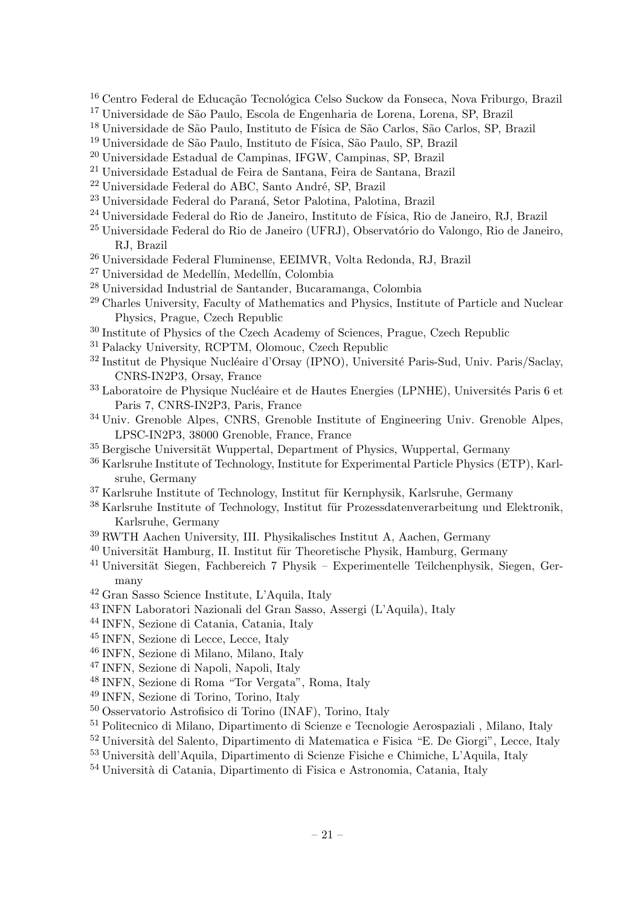- <sup>16</sup> Centro Federal de Educação Tecnológica Celso Suckow da Fonseca, Nova Friburgo, Brazil
- <sup>17</sup> Universidade de São Paulo, Escola de Engenharia de Lorena, Lorena, SP, Brazil
- <sup>18</sup> Universidade de São Paulo, Instituto de Física de São Carlos, São Carlos, SP, Brazil
- <sup>19</sup> Universidade de São Paulo, Instituto de Física, São Paulo, SP, Brazil
- <sup>20</sup> Universidade Estadual de Campinas, IFGW, Campinas, SP, Brazil
- <sup>21</sup> Universidade Estadual de Feira de Santana, Feira de Santana, Brazil
- $22$  Universidade Federal do ABC, Santo André, SP, Brazil
- <sup>23</sup> Universidade Federal do Paraná, Setor Palotina, Palotina, Brazil
- <sup>24</sup> Universidade Federal do Rio de Janeiro, Instituto de Física, Rio de Janeiro, RJ, Brazil
- <sup>25</sup> Universidade Federal do Rio de Janeiro (UFRJ), Observatório do Valongo, Rio de Janeiro, RJ, Brazil
- <sup>26</sup> Universidade Federal Fluminense, EEIMVR, Volta Redonda, RJ, Brazil
- $27$  Universidad de Medellín, Medellín, Colombia
- <sup>28</sup> Universidad Industrial de Santander, Bucaramanga, Colombia
- <sup>29</sup> Charles University, Faculty of Mathematics and Physics, Institute of Particle and Nuclear Physics, Prague, Czech Republic
- <sup>30</sup> Institute of Physics of the Czech Academy of Sciences, Prague, Czech Republic
- <sup>31</sup> Palacky University, RCPTM, Olomouc, Czech Republic
- <sup>32</sup> Institut de Physique Nucléaire d'Orsay (IPNO), Université Paris-Sud, Univ. Paris/Saclay, CNRS-IN2P3, Orsay, France
- <sup>33</sup> Laboratoire de Physique Nucléaire et de Hautes Energies (LPNHE), Universités Paris 6 et Paris 7, CNRS-IN2P3, Paris, France
- <sup>34</sup> Univ. Grenoble Alpes, CNRS, Grenoble Institute of Engineering Univ. Grenoble Alpes, LPSC-IN2P3, 38000 Grenoble, France, France
- $35$  Bergische Universität Wuppertal, Department of Physics, Wuppertal, Germany
- <sup>36</sup> Karlsruhe Institute of Technology, Institute for Experimental Particle Physics (ETP), Karlsruhe, Germany
- $37$  Karlsruhe Institute of Technology, Institut für Kernphysik, Karlsruhe, Germany
- $38$  Karlsruhe Institute of Technology, Institut für Prozessdatenverarbeitung und Elektronik, Karlsruhe, Germany
- <sup>39</sup> RWTH Aachen University, III. Physikalisches Institut A, Aachen, Germany
- $40$  Universität Hamburg, II. Institut für Theoretische Physik, Hamburg, Germany
- $41$  Universität Siegen, Fachbereich 7 Physik Experimentelle Teilchenphysik, Siegen, Germany
- <sup>42</sup> Gran Sasso Science Institute, L'Aquila, Italy
- <sup>43</sup> INFN Laboratori Nazionali del Gran Sasso, Assergi (L'Aquila), Italy
- <sup>44</sup> INFN, Sezione di Catania, Catania, Italy
- <sup>45</sup> INFN, Sezione di Lecce, Lecce, Italy
- <sup>46</sup> INFN, Sezione di Milano, Milano, Italy
- <sup>47</sup> INFN, Sezione di Napoli, Napoli, Italy
- <sup>48</sup> INFN, Sezione di Roma "Tor Vergata", Roma, Italy
- <sup>49</sup> INFN, Sezione di Torino, Torino, Italy
- <sup>50</sup> Osservatorio Astrofisico di Torino (INAF), Torino, Italy
- <sup>51</sup> Politecnico di Milano, Dipartimento di Scienze e Tecnologie Aerospaziali , Milano, Italy
- <sup>52</sup> Università del Salento, Dipartimento di Matematica e Fisica "E. De Giorgi", Lecce, Italy
- <sup>53</sup> Università dell'Aquila, Dipartimento di Scienze Fisiche e Chimiche, L'Aquila, Italy
- <sup>54</sup> Università di Catania, Dipartimento di Fisica e Astronomia, Catania, Italy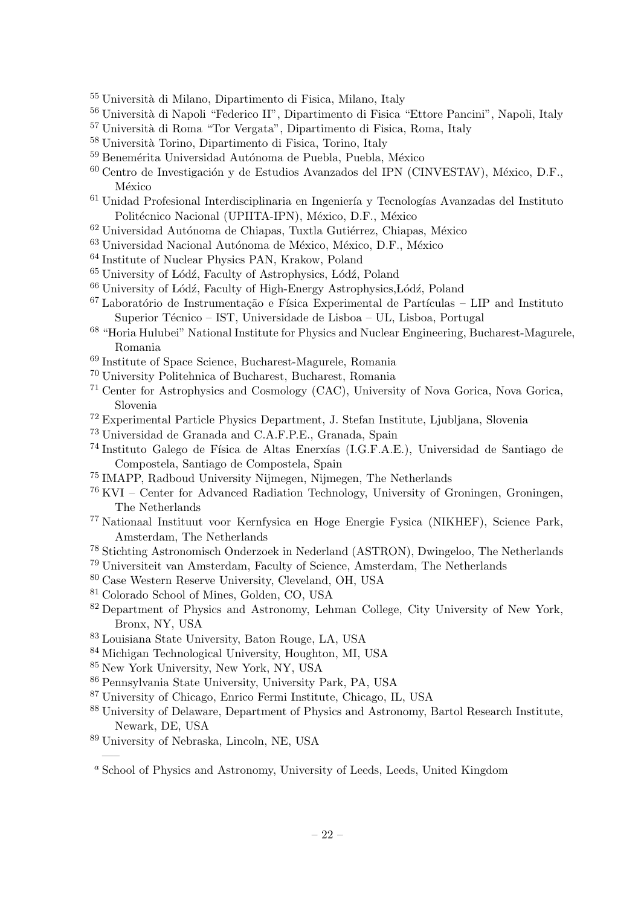- <sup>55</sup> Università di Milano, Dipartimento di Fisica, Milano, Italy
- <sup>56</sup> Università di Napoli "Federico II", Dipartimento di Fisica "Ettore Pancini", Napoli, Italy
- <sup>57</sup> Università di Roma "Tor Vergata", Dipartimento di Fisica, Roma, Italy
- <sup>58</sup> Università Torino, Dipartimento di Fisica, Torino, Italy
- $^{59}$  Benemérita Universidad Autónoma de Puebla, Puebla, México
- $60$  Centro de Investigación y de Estudios Avanzados del IPN (CINVESTAV), México, D.F., México
- $^{61}$ Unidad Profesional Interdisciplinaria en Ingeniería y Tecnologías Avanzadas del Instituto Politécnico Nacional (UPIITA-IPN), México, D.F., México
- $62$  Universidad Autónoma de Chiapas, Tuxtla Gutiérrez, Chiapas, México
- $63$  Universidad Nacional Autónoma de México, México, D.F., México
- <sup>64</sup> Institute of Nuclear Physics PAN, Krakow, Poland
- $65$  University of Lódź, Faculty of Astrophysics, Lódź, Poland
- $66$  University of Lódź, Faculty of High-Energy Astrophysics, Lódź, Poland
- $67$  Laboratório de Instrumentação e Física Experimental de Partículas LIP and Instituto Superior Técnico – IST, Universidade de Lisboa – UL, Lisboa, Portugal
- <sup>68</sup> "Horia Hulubei" National Institute for Physics and Nuclear Engineering, Bucharest-Magurele, Romania
- <sup>69</sup> Institute of Space Science, Bucharest-Magurele, Romania
- <sup>70</sup> University Politehnica of Bucharest, Bucharest, Romania
- <sup>71</sup> Center for Astrophysics and Cosmology (CAC), University of Nova Gorica, Nova Gorica, Slovenia
- <sup>72</sup> Experimental Particle Physics Department, J. Stefan Institute, Ljubljana, Slovenia
- <sup>73</sup> Universidad de Granada and C.A.F.P.E., Granada, Spain
- <sup>74</sup> Instituto Galego de Física de Altas Enerxías (I.G.F.A.E.), Universidad de Santiago de Compostela, Santiago de Compostela, Spain
- <sup>75</sup> IMAPP, Radboud University Nijmegen, Nijmegen, The Netherlands
- <sup>76</sup> KVI Center for Advanced Radiation Technology, University of Groningen, Groningen, The Netherlands
- <sup>77</sup> Nationaal Instituut voor Kernfysica en Hoge Energie Fysica (NIKHEF), Science Park, Amsterdam, The Netherlands
- <sup>78</sup> Stichting Astronomisch Onderzoek in Nederland (ASTRON), Dwingeloo, The Netherlands
- <sup>79</sup> Universiteit van Amsterdam, Faculty of Science, Amsterdam, The Netherlands
- <sup>80</sup> Case Western Reserve University, Cleveland, OH, USA
- <sup>81</sup> Colorado School of Mines, Golden, CO, USA
- <sup>82</sup> Department of Physics and Astronomy, Lehman College, City University of New York, Bronx, NY, USA
- <sup>83</sup> Louisiana State University, Baton Rouge, LA, USA
- <sup>84</sup> Michigan Technological University, Houghton, MI, USA
- <sup>85</sup> New York University, New York, NY, USA
- <sup>86</sup> Pennsylvania State University, University Park, PA, USA
- <sup>87</sup> University of Chicago, Enrico Fermi Institute, Chicago, IL, USA
- <sup>88</sup> University of Delaware, Department of Physics and Astronomy, Bartol Research Institute, Newark, DE, USA
- <sup>89</sup> University of Nebraska, Lincoln, NE, USA

—–

<sup>a</sup> School of Physics and Astronomy, University of Leeds, Leeds, United Kingdom